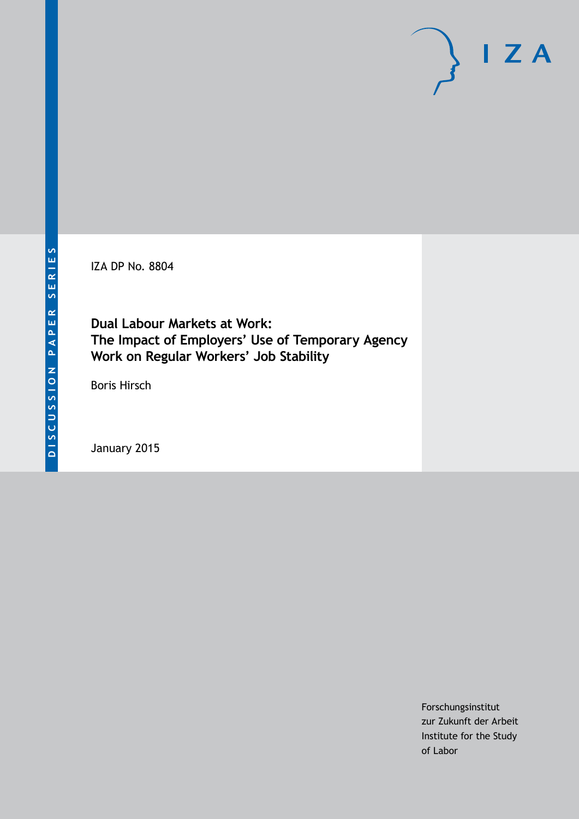IZA DP No. 8804

**Dual Labour Markets at Work: The Impact of Employers' Use of Temporary Agency Work on Regular Workers' Job Stability**

Boris Hirsch

January 2015

Forschungsinstitut zur Zukunft der Arbeit Institute for the Study of Labor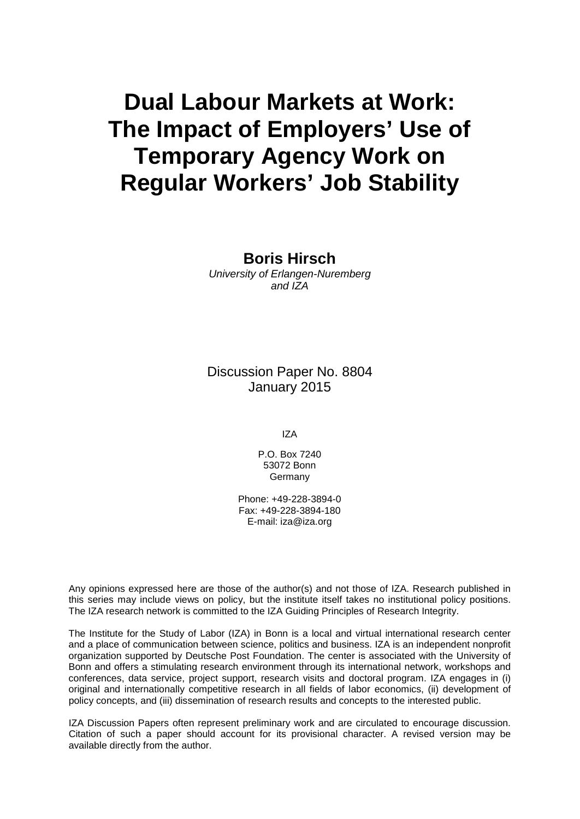# **Dual Labour Markets at Work: The Impact of Employers' Use of Temporary Agency Work on Regular Workers' Job Stability**

**Boris Hirsch** *University of Erlangen-Nuremberg and IZA*

Discussion Paper No. 8804 January 2015

IZA

P.O. Box 7240 53072 Bonn Germany

Phone: +49-228-3894-0 Fax: +49-228-3894-180 E-mail: [iza@iza.org](mailto:iza@iza.org)

Any opinions expressed here are those of the author(s) and not those of IZA. Research published in this series may include views on policy, but the institute itself takes no institutional policy positions. The IZA research network is committed to the IZA Guiding Principles of Research Integrity.

The Institute for the Study of Labor (IZA) in Bonn is a local and virtual international research center and a place of communication between science, politics and business. IZA is an independent nonprofit organization supported by Deutsche Post Foundation. The center is associated with the University of Bonn and offers a stimulating research environment through its international network, workshops and conferences, data service, project support, research visits and doctoral program. IZA engages in (i) original and internationally competitive research in all fields of labor economics, (ii) development of policy concepts, and (iii) dissemination of research results and concepts to the interested public.

<span id="page-1-0"></span>IZA Discussion Papers often represent preliminary work and are circulated to encourage discussion. Citation of such a paper should account for its provisional character. A revised version may be available directly from the author.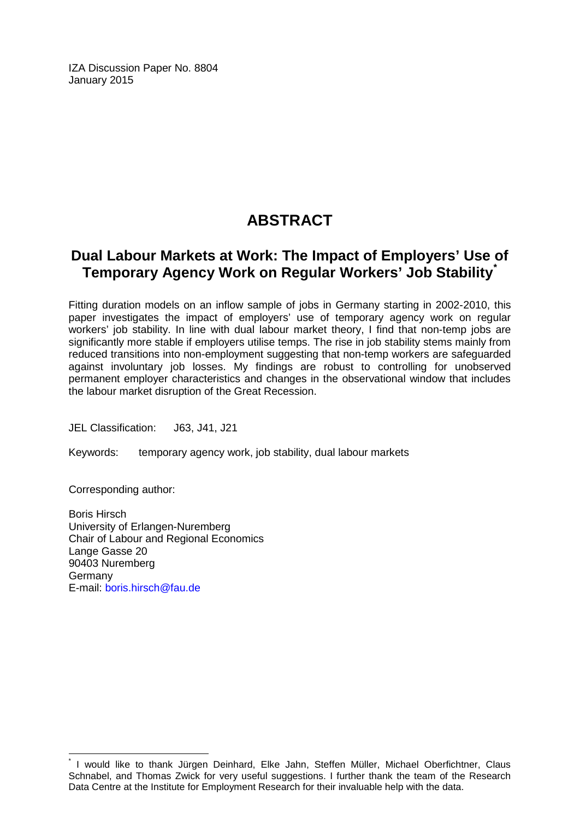IZA Discussion Paper No. 8804 January 2015

## **ABSTRACT**

## **Dual Labour Markets at Work: The Impact of Employers' Use of Temporary Agency Work on Regular Workers' Job Stability[\\*](#page-1-0)**

Fitting duration models on an inflow sample of jobs in Germany starting in 2002-2010, this paper investigates the impact of employers' use of temporary agency work on regular workers' job stability. In line with dual labour market theory, I find that non-temp jobs are significantly more stable if employers utilise temps. The rise in job stability stems mainly from reduced transitions into non-employment suggesting that non-temp workers are safeguarded against involuntary job losses. My findings are robust to controlling for unobserved permanent employer characteristics and changes in the observational window that includes the labour market disruption of the Great Recession.

JEL Classification: J63, J41, J21

Keywords: temporary agency work, job stability, dual labour markets

Corresponding author:

Boris Hirsch University of Erlangen-Nuremberg Chair of Labour and Regional Economics Lange Gasse 20 90403 Nuremberg Germany E-mail: [boris.hirsch@fau.de](mailto:boris.hirsch@fau.de)

\* I would like to thank Jürgen Deinhard, Elke Jahn, Steffen Müller, Michael Oberfichtner, Claus Schnabel, and Thomas Zwick for very useful suggestions. I further thank the team of the Research Data Centre at the Institute for Employment Research for their invaluable help with the data.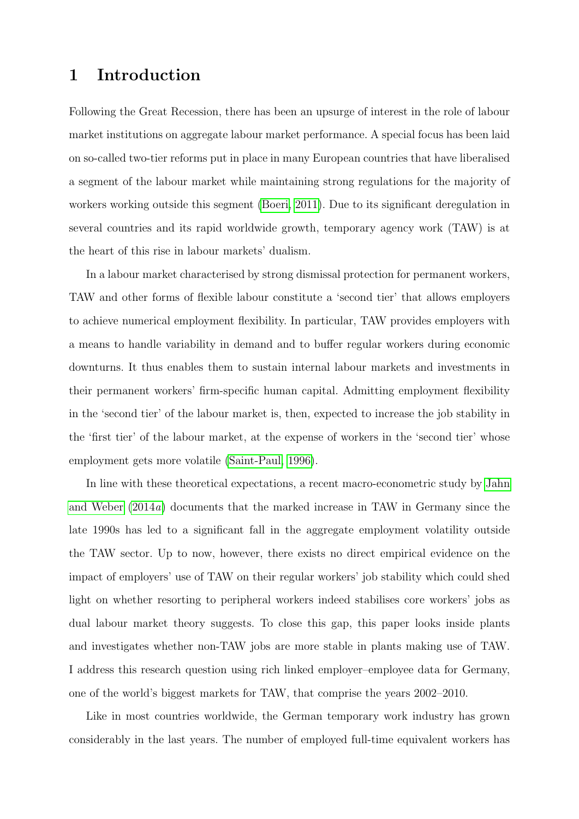## <span id="page-3-0"></span>1 Introduction

Following the Great Recession, there has been an upsurge of interest in the role of labour market institutions on aggregate labour market performance. A special focus has been laid on so-called two-tier reforms put in place in many European countries that have liberalised a segment of the labour market while maintaining strong regulations for the majority of workers working outside this segment [\(Boeri, 2011\)](#page-18-0). Due to its significant deregulation in several countries and its rapid worldwide growth, temporary agency work (TAW) is at the heart of this rise in labour markets' dualism.

In a labour market characterised by strong dismissal protection for permanent workers, TAW and other forms of flexible labour constitute a 'second tier' that allows employers to achieve numerical employment flexibility. In particular, TAW provides employers with a means to handle variability in demand and to buffer regular workers during economic downturns. It thus enables them to sustain internal labour markets and investments in their permanent workers' firm-specific human capital. Admitting employment flexibility in the 'second tier' of the labour market is, then, expected to increase the job stability in the 'first tier' of the labour market, at the expense of workers in the 'second tier' whose employment gets more volatile [\(Saint-Paul, 1996\)](#page-19-0).

In line with these theoretical expectations, a recent macro-econometric study by [Jahn](#page-19-1) [and Weber](#page-19-1) [\(2014](#page-19-1)a) documents that the marked increase in TAW in Germany since the late 1990s has led to a significant fall in the aggregate employment volatility outside the TAW sector. Up to now, however, there exists no direct empirical evidence on the impact of employers' use of TAW on their regular workers' job stability which could shed light on whether resorting to peripheral workers indeed stabilises core workers' jobs as dual labour market theory suggests. To close this gap, this paper looks inside plants and investigates whether non-TAW jobs are more stable in plants making use of TAW. I address this research question using rich linked employer–employee data for Germany, one of the world's biggest markets for TAW, that comprise the years 2002–2010.

Like in most countries worldwide, the German temporary work industry has grown considerably in the last years. The number of employed full-time equivalent workers has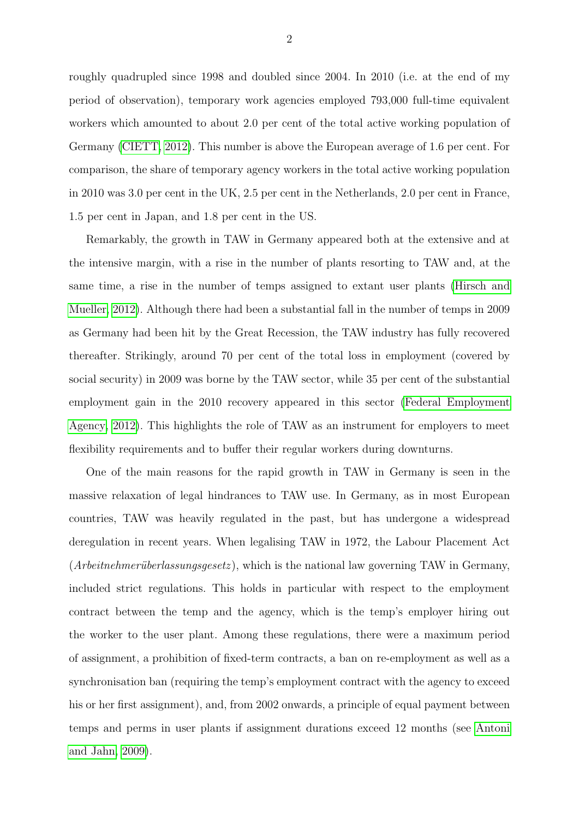roughly quadrupled since 1998 and doubled since 2004. In 2010 (i.e. at the end of my period of observation), temporary work agencies employed 793,000 full-time equivalent workers which amounted to about 2.0 per cent of the total active working population of Germany [\(CIETT, 2012\)](#page-18-1). This number is above the European average of 1.6 per cent. For comparison, the share of temporary agency workers in the total active working population in 2010 was 3.0 per cent in the UK, 2.5 per cent in the Netherlands, 2.0 per cent in France, 1.5 per cent in Japan, and 1.8 per cent in the US.

Remarkably, the growth in TAW in Germany appeared both at the extensive and at the intensive margin, with a rise in the number of plants resorting to TAW and, at the same time, a rise in the number of temps assigned to extant user plants [\(Hirsch and](#page-18-2) [Mueller, 2012\)](#page-18-2). Although there had been a substantial fall in the number of temps in 2009 as Germany had been hit by the Great Recession, the TAW industry has fully recovered thereafter. Strikingly, around 70 per cent of the total loss in employment (covered by social security) in 2009 was borne by the TAW sector, while 35 per cent of the substantial employment gain in the 2010 recovery appeared in this sector [\(Federal Employment](#page-18-3) [Agency, 2012\)](#page-18-3). This highlights the role of TAW as an instrument for employers to meet flexibility requirements and to buffer their regular workers during downturns.

One of the main reasons for the rapid growth in TAW in Germany is seen in the massive relaxation of legal hindrances to TAW use. In Germany, as in most European countries, TAW was heavily regulated in the past, but has undergone a widespread deregulation in recent years. When legalising TAW in 1972, the Labour Placement Act  $(Arbeitnehmerüberlassungsgesetz)$ , which is the national law governing TAW in Germany, included strict regulations. This holds in particular with respect to the employment contract between the temp and the agency, which is the temp's employer hiring out the worker to the user plant. Among these regulations, there were a maximum period of assignment, a prohibition of fixed-term contracts, a ban on re-employment as well as a synchronisation ban (requiring the temp's employment contract with the agency to exceed his or her first assignment), and, from 2002 onwards, a principle of equal payment between temps and perms in user plants if assignment durations exceed 12 months (see [Antoni](#page-18-4) [and Jahn, 2009\)](#page-18-4).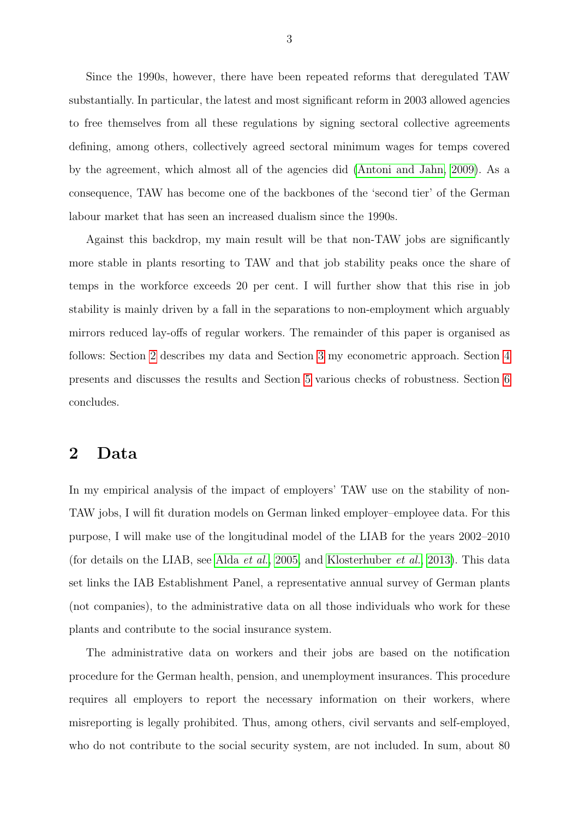Since the 1990s, however, there have been repeated reforms that deregulated TAW substantially. In particular, the latest and most significant reform in 2003 allowed agencies to free themselves from all these regulations by signing sectoral collective agreements defining, among others, collectively agreed sectoral minimum wages for temps covered by the agreement, which almost all of the agencies did [\(Antoni and Jahn, 2009\)](#page-18-4). As a consequence, TAW has become one of the backbones of the 'second tier' of the German labour market that has seen an increased dualism since the 1990s.

Against this backdrop, my main result will be that non-TAW jobs are significantly more stable in plants resorting to TAW and that job stability peaks once the share of temps in the workforce exceeds 20 per cent. I will further show that this rise in job stability is mainly driven by a fall in the separations to non-employment which arguably mirrors reduced lay-offs of regular workers. The remainder of this paper is organised as follows: Section [2](#page-5-0) describes my data and Section [3](#page-8-0) my econometric approach. Section [4](#page-11-0) presents and discusses the results and Section [5](#page-14-0) various checks of robustness. Section [6](#page-16-0) concludes.

#### <span id="page-5-0"></span>2 Data

In my empirical analysis of the impact of employers' TAW use on the stability of non-TAW jobs, I will fit duration models on German linked employer–employee data. For this purpose, I will make use of the longitudinal model of the LIAB for the years 2002–2010 (for details on the LIAB, see Alda [et al.](#page-18-5), [2005,](#page-18-5) and [Klosterhuber](#page-19-2) et al., [2013\)](#page-19-2). This data set links the IAB Establishment Panel, a representative annual survey of German plants (not companies), to the administrative data on all those individuals who work for these plants and contribute to the social insurance system.

The administrative data on workers and their jobs are based on the notification procedure for the German health, pension, and unemployment insurances. This procedure requires all employers to report the necessary information on their workers, where misreporting is legally prohibited. Thus, among others, civil servants and self-employed, who do not contribute to the social security system, are not included. In sum, about 80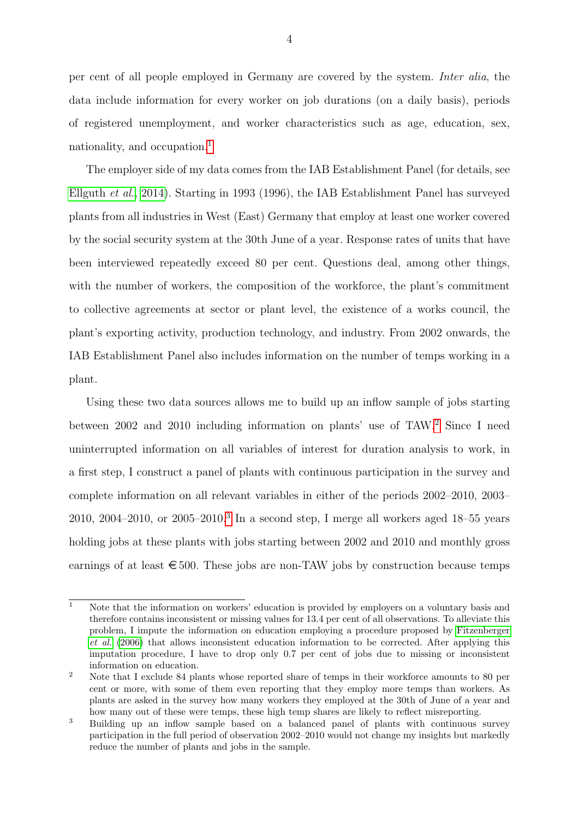per cent of all people employed in Germany are covered by the system. Inter alia, the data include information for every worker on job durations (on a daily basis), periods of registered unemployment, and worker characteristics such as age, education, sex, nationality, and occupation.<sup>[1](#page--1-0)</sup>

The employer side of my data comes from the IAB Establishment Panel (for details, see [Ellguth](#page-18-6) et al., [2014\)](#page-18-6). Starting in 1993 (1996), the IAB Establishment Panel has surveyed plants from all industries in West (East) Germany that employ at least one worker covered by the social security system at the 30th June of a year. Response rates of units that have been interviewed repeatedly exceed 80 per cent. Questions deal, among other things, with the number of workers, the composition of the workforce, the plant's commitment to collective agreements at sector or plant level, the existence of a works council, the plant's exporting activity, production technology, and industry. From 2002 onwards, the IAB Establishment Panel also includes information on the number of temps working in a plant.

Using these two data sources allows me to build up an inflow sample of jobs starting between 2002 and 2010 including information on plants' use of TAW.[2](#page--1-0) Since I need uninterrupted information on all variables of interest for duration analysis to work, in a first step, I construct a panel of plants with continuous participation in the survey and complete information on all relevant variables in either of the periods 2002–2010, 2003– 2010, 2004–2010, or 2005–2010.[3](#page--1-0) In a second step, I merge all workers aged 18–55 years holding jobs at these plants with jobs starting between 2002 and 2010 and monthly gross earnings of at least  $\epsilon$  500. These jobs are non-TAW jobs by construction because temps

 $\overline{1}$  Note that the information on workers' education is provided by employers on a voluntary basis and therefore contains inconsistent or missing values for 13.4 per cent of all observations. To alleviate this problem, I impute the information on education employing a procedure proposed by [Fitzenberger](#page-18-7) [et al.](#page-18-7) [\(2006\)](#page-18-7) that allows inconsistent education information to be corrected. After applying this imputation procedure, I have to drop only 0.7 per cent of jobs due to missing or inconsistent information on education.

<sup>&</sup>lt;sup>2</sup> Note that I exclude 84 plants whose reported share of temps in their workforce amounts to 80 per cent or more, with some of them even reporting that they employ more temps than workers. As plants are asked in the survey how many workers they employed at the 30th of June of a year and how many out of these were temps, these high temp shares are likely to reflect misreporting.

<sup>3</sup> Building up an inflow sample based on a balanced panel of plants with continuous survey participation in the full period of observation 2002–2010 would not change my insights but markedly reduce the number of plants and jobs in the sample.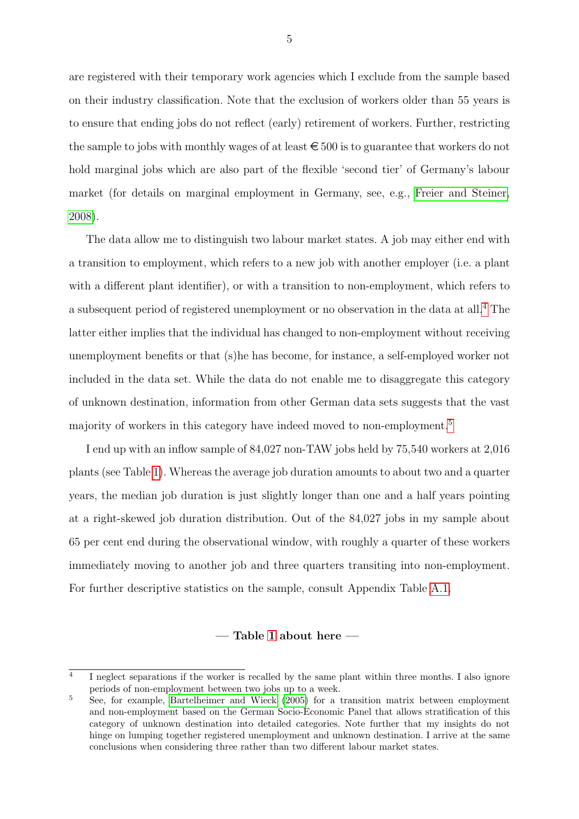are registered with their temporary work agencies which I exclude from the sample based on their industry classification. Note that the exclusion of workers older than 55 years is to ensure that ending jobs do not reflect (early) retirement of workers. Further, restricting the sample to jobs with monthly wages of at least  $\epsilon \leq 500$  is to guarantee that workers do not hold marginal jobs which are also part of the flexible 'second tier' of Germany's labour market (for details on marginal employment in Germany, see, e.g., [Freier and Steiner,](#page-18-8) [2008\)](#page-18-8).

The data allow me to distinguish two labour market states. A job may either end with a transition to employment, which refers to a new job with another employer (i.e. a plant with a different plant identifier), or with a transition to non-employment, which refers to a subsequent period of registered unemployment or no observation in the data at all.[4](#page--1-0) The latter either implies that the individual has changed to non-employment without receiving unemployment benefits or that (s)he has become, for instance, a self-employed worker not included in the data set. While the data do not enable me to disaggregate this category of unknown destination, information from other German data sets suggests that the vast majority of workers in this category have indeed moved to non-employment.[5](#page--1-0)

I end up with an inflow sample of 84,027 non-TAW jobs held by 75,540 workers at 2,016 plants (see Table [1\)](#page-21-0). Whereas the average job duration amounts to about two and a quarter years, the median job duration is just slightly longer than one and a half years pointing at a right-skewed job duration distribution. Out of the 84,027 jobs in my sample about 65 per cent end during the observational window, with roughly a quarter of these workers immediately moving to another job and three quarters transiting into non-employment. For further descriptive statistics on the sample, consult Appendix Table [A.1.](#page-28-0)

#### — Table [1](#page-21-0) about here —

<sup>4</sup> I neglect separations if the worker is recalled by the same plant within three months. I also ignore periods of non-employment between two jobs up to a week.

<sup>5</sup> See, for example, [Bartelheimer and Wieck](#page-18-9) [\(2005\)](#page-18-9) for a transition matrix between employment and non-employment based on the German Socio-Economic Panel that allows stratification of this category of unknown destination into detailed categories. Note further that my insights do not hinge on lumping together registered unemployment and unknown destination. I arrive at the same conclusions when considering three rather than two different labour market states.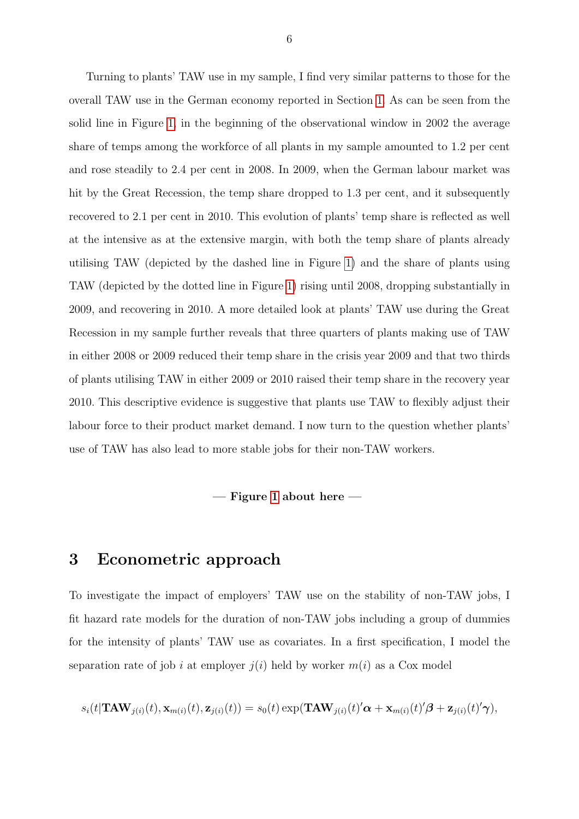Turning to plants' TAW use in my sample, I find very similar patterns to those for the overall TAW use in the German economy reported in Section [1.](#page-3-0) As can be seen from the solid line in Figure [1,](#page-20-0) in the beginning of the observational window in 2002 the average share of temps among the workforce of all plants in my sample amounted to 1.2 per cent and rose steadily to 2.4 per cent in 2008. In 2009, when the German labour market was hit by the Great Recession, the temp share dropped to 1.3 per cent, and it subsequently recovered to 2.1 per cent in 2010. This evolution of plants' temp share is reflected as well at the intensive as at the extensive margin, with both the temp share of plants already utilising TAW (depicted by the dashed line in Figure [1\)](#page-20-0) and the share of plants using TAW (depicted by the dotted line in Figure [1\)](#page-20-0) rising until 2008, dropping substantially in 2009, and recovering in 2010. A more detailed look at plants' TAW use during the Great Recession in my sample further reveals that three quarters of plants making use of TAW in either 2008 or 2009 reduced their temp share in the crisis year 2009 and that two thirds of plants utilising TAW in either 2009 or 2010 raised their temp share in the recovery year 2010. This descriptive evidence is suggestive that plants use TAW to flexibly adjust their labour force to their product market demand. I now turn to the question whether plants' use of TAW has also lead to more stable jobs for their non-TAW workers.

 $-$  Figure [1](#page-20-0) about here  $-$ 

### <span id="page-8-0"></span>3 Econometric approach

To investigate the impact of employers' TAW use on the stability of non-TAW jobs, I fit hazard rate models for the duration of non-TAW jobs including a group of dummies for the intensity of plants' TAW use as covariates. In a first specification, I model the separation rate of job i at employer  $j(i)$  held by worker  $m(i)$  as a Cox model

$$
s_i(t|\mathbf{TAW}_{j(i)}(t),\mathbf{x}_{m(i)}(t),\mathbf{z}_{j(i)}(t)) = s_0(t)\exp(\mathbf{TAW}_{j(i)}(t)'\boldsymbol{\alpha} + \mathbf{x}_{m(i)}(t)'\boldsymbol{\beta} + \mathbf{z}_{j(i)}(t)'\boldsymbol{\gamma}),
$$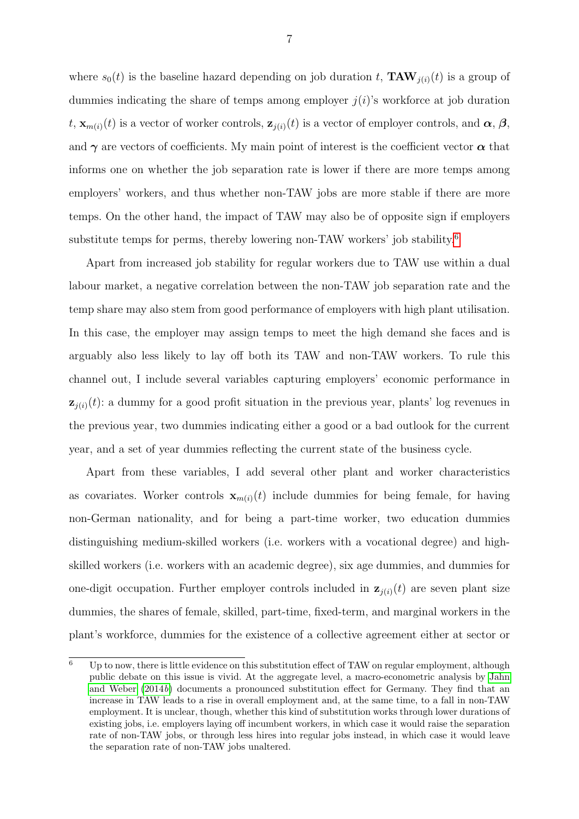where  $s_0(t)$  is the baseline hazard depending on job duration t,  $\mathbf{TAW}_{i}(t)$  is a group of dummies indicating the share of temps among employer  $j(i)$ 's workforce at job duration t,  $\mathbf{x}_{m(i)}(t)$  is a vector of worker controls,  $\mathbf{z}_{i(i)}(t)$  is a vector of employer controls, and  $\boldsymbol{\alpha}, \boldsymbol{\beta}$ , and  $\gamma$  are vectors of coefficients. My main point of interest is the coefficient vector  $\alpha$  that informs one on whether the job separation rate is lower if there are more temps among employers' workers, and thus whether non-TAW jobs are more stable if there are more temps. On the other hand, the impact of TAW may also be of opposite sign if employers substitute temps for perms, thereby lowering non-TAW workers' job stability.[6](#page--1-0)

Apart from increased job stability for regular workers due to TAW use within a dual labour market, a negative correlation between the non-TAW job separation rate and the temp share may also stem from good performance of employers with high plant utilisation. In this case, the employer may assign temps to meet the high demand she faces and is arguably also less likely to lay off both its TAW and non-TAW workers. To rule this channel out, I include several variables capturing employers' economic performance in  $z_{i(i)}(t)$ : a dummy for a good profit situation in the previous year, plants' log revenues in the previous year, two dummies indicating either a good or a bad outlook for the current year, and a set of year dummies reflecting the current state of the business cycle.

Apart from these variables, I add several other plant and worker characteristics as covariates. Worker controls  $\mathbf{x}_{m(i)}(t)$  include dummies for being female, for having non-German nationality, and for being a part-time worker, two education dummies distinguishing medium-skilled workers (i.e. workers with a vocational degree) and highskilled workers (i.e. workers with an academic degree), six age dummies, and dummies for one-digit occupation. Further employer controls included in  $z_{i(i)}(t)$  are seven plant size dummies, the shares of female, skilled, part-time, fixed-term, and marginal workers in the plant's workforce, dummies for the existence of a collective agreement either at sector or

 $6$  Up to now, there is little evidence on this substitution effect of TAW on regular employment, although public debate on this issue is vivid. At the aggregate level, a macro-econometric analysis by [Jahn](#page-19-3) [and Weber](#page-19-3) [\(2014](#page-19-3)b) documents a pronounced substitution effect for Germany. They find that an increase in TAW leads to a rise in overall employment and, at the same time, to a fall in non-TAW employment. It is unclear, though, whether this kind of substitution works through lower durations of existing jobs, i.e. employers laying off incumbent workers, in which case it would raise the separation rate of non-TAW jobs, or through less hires into regular jobs instead, in which case it would leave the separation rate of non-TAW jobs unaltered.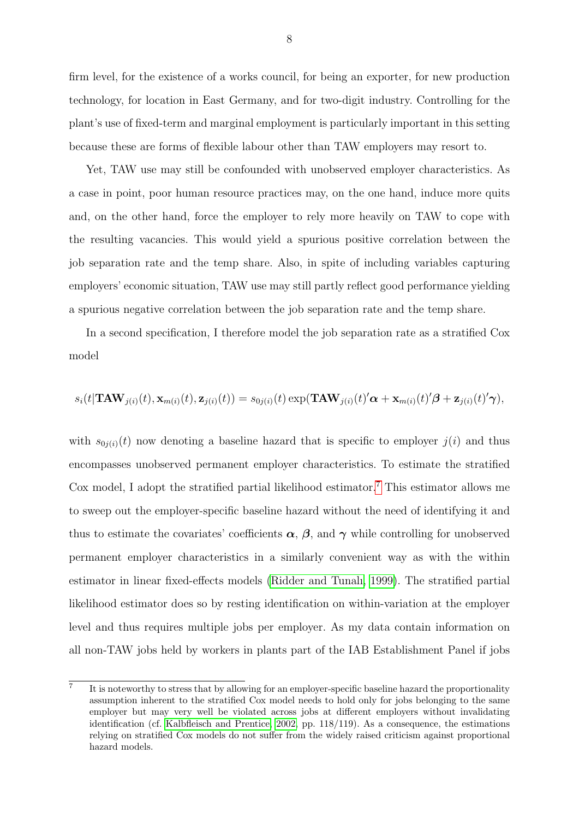firm level, for the existence of a works council, for being an exporter, for new production technology, for location in East Germany, and for two-digit industry. Controlling for the plant's use of fixed-term and marginal employment is particularly important in this setting because these are forms of flexible labour other than TAW employers may resort to.

Yet, TAW use may still be confounded with unobserved employer characteristics. As a case in point, poor human resource practices may, on the one hand, induce more quits and, on the other hand, force the employer to rely more heavily on TAW to cope with the resulting vacancies. This would yield a spurious positive correlation between the job separation rate and the temp share. Also, in spite of including variables capturing employers' economic situation, TAW use may still partly reflect good performance yielding a spurious negative correlation between the job separation rate and the temp share.

In a second specification, I therefore model the job separation rate as a stratified Cox model

$$
s_i(t|\mathbf{TAW}_{j(i)}(t),\mathbf{x}_{m(i)}(t),\mathbf{z}_{j(i)}(t)) = s_{0j(i)}(t)\exp(\mathbf{TAW}_{j(i)}(t)'\boldsymbol{\alpha} + \mathbf{x}_{m(i)}(t)'\boldsymbol{\beta} + \mathbf{z}_{j(i)}(t)'\boldsymbol{\gamma}),
$$

with  $s_{0i(i)}(t)$  now denoting a baseline hazard that is specific to employer  $j(i)$  and thus encompasses unobserved permanent employer characteristics. To estimate the stratified Cox model, I adopt the stratified partial likelihood estimator.<sup>[7](#page--1-0)</sup> This estimator allows me to sweep out the employer-specific baseline hazard without the need of identifying it and thus to estimate the covariates' coefficients  $\alpha$ ,  $\beta$ , and  $\gamma$  while controlling for unobserved permanent employer characteristics in a similarly convenient way as with the within estimator in linear fixed-effects models [\(Ridder and Tunalı, 1999\)](#page-19-4). The stratified partial likelihood estimator does so by resting identification on within-variation at the employer level and thus requires multiple jobs per employer. As my data contain information on all non-TAW jobs held by workers in plants part of the IAB Establishment Panel if jobs

<sup>7</sup> It is noteworthy to stress that by allowing for an employer-specific baseline hazard the proportionality assumption inherent to the stratified Cox model needs to hold only for jobs belonging to the same employer but may very well be violated across jobs at different employers without invalidating identification (cf. [Kalbfleisch and Prentice, 2002,](#page-19-5) pp. 118/119). As a consequence, the estimations relying on stratified Cox models do not suffer from the widely raised criticism against proportional hazard models.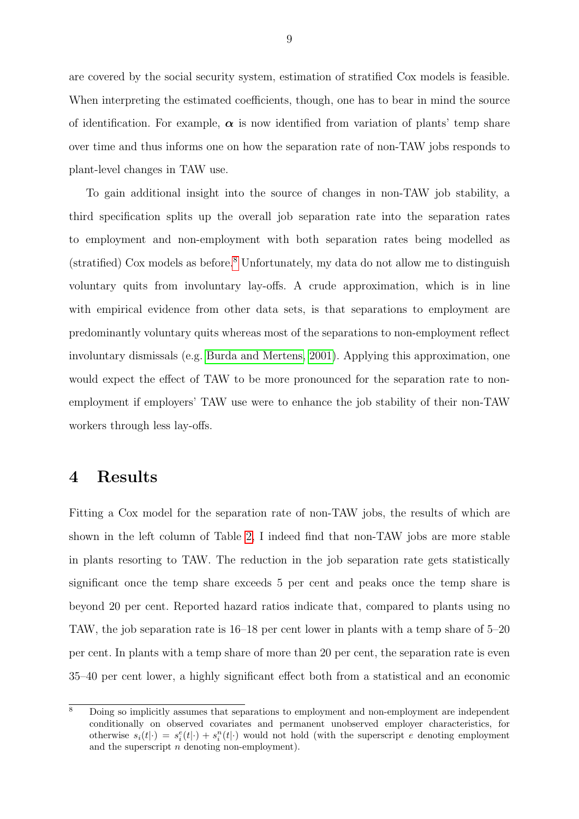are covered by the social security system, estimation of stratified Cox models is feasible. When interpreting the estimated coefficients, though, one has to bear in mind the source of identification. For example,  $\alpha$  is now identified from variation of plants' temp share over time and thus informs one on how the separation rate of non-TAW jobs responds to plant-level changes in TAW use.

To gain additional insight into the source of changes in non-TAW job stability, a third specification splits up the overall job separation rate into the separation rates to employment and non-employment with both separation rates being modelled as (stratified) Cox models as before.[8](#page--1-0) Unfortunately, my data do not allow me to distinguish voluntary quits from involuntary lay-offs. A crude approximation, which is in line with empirical evidence from other data sets, is that separations to employment are predominantly voluntary quits whereas most of the separations to non-employment reflect involuntary dismissals (e.g. [Burda and Mertens, 2001\)](#page-18-10). Applying this approximation, one would expect the effect of TAW to be more pronounced for the separation rate to nonemployment if employers' TAW use were to enhance the job stability of their non-TAW workers through less lay-offs.

### <span id="page-11-0"></span>4 Results

Fitting a Cox model for the separation rate of non-TAW jobs, the results of which are shown in the left column of Table [2,](#page-22-0) I indeed find that non-TAW jobs are more stable in plants resorting to TAW. The reduction in the job separation rate gets statistically significant once the temp share exceeds 5 per cent and peaks once the temp share is beyond 20 per cent. Reported hazard ratios indicate that, compared to plants using no TAW, the job separation rate is 16–18 per cent lower in plants with a temp share of 5–20 per cent. In plants with a temp share of more than 20 per cent, the separation rate is even 35–40 per cent lower, a highly significant effect both from a statistical and an economic

 $\overline{\text{8}}$  Doing so implicitly assumes that separations to employment and non-employment are independent conditionally on observed covariates and permanent unobserved employer characteristics, for otherwise  $s_i(t|\cdot) = s_i^e(t|\cdot) + s_i^n(t|\cdot)$  would not hold (with the superscript e denoting employment and the superscript  $n$  denoting non-employment).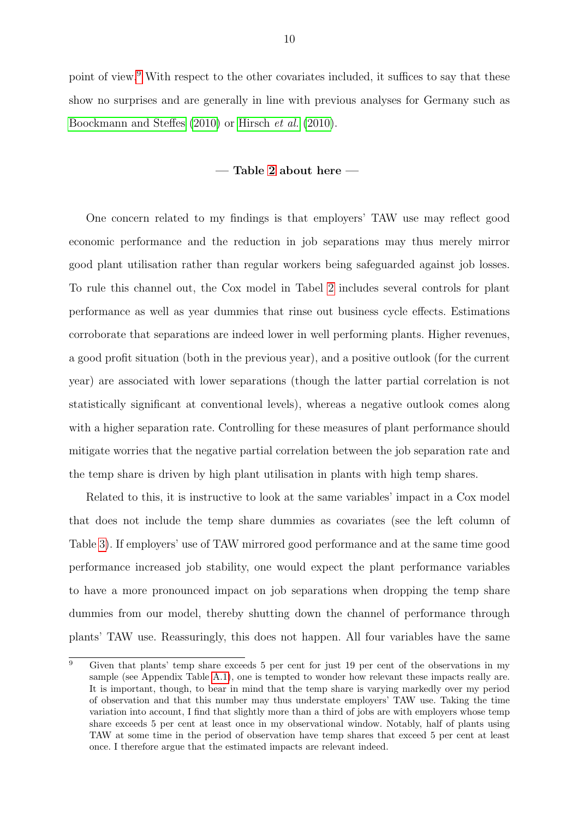point of view.<sup>[9](#page--1-0)</sup> With respect to the other covariates included, it suffices to say that these show no surprises and are generally in line with previous analyses for Germany such as [Boockmann and Steffes](#page-18-11) [\(2010\)](#page-18-11) or [Hirsch](#page-19-6) et al. [\(2010\)](#page-19-6).

#### — Table [2](#page-22-0) about here —

One concern related to my findings is that employers' TAW use may reflect good economic performance and the reduction in job separations may thus merely mirror good plant utilisation rather than regular workers being safeguarded against job losses. To rule this channel out, the Cox model in Tabel [2](#page-22-0) includes several controls for plant performance as well as year dummies that rinse out business cycle effects. Estimations corroborate that separations are indeed lower in well performing plants. Higher revenues, a good profit situation (both in the previous year), and a positive outlook (for the current year) are associated with lower separations (though the latter partial correlation is not statistically significant at conventional levels), whereas a negative outlook comes along with a higher separation rate. Controlling for these measures of plant performance should mitigate worries that the negative partial correlation between the job separation rate and the temp share is driven by high plant utilisation in plants with high temp shares.

Related to this, it is instructive to look at the same variables' impact in a Cox model that does not include the temp share dummies as covariates (see the left column of Table [3\)](#page-23-0). If employers' use of TAW mirrored good performance and at the same time good performance increased job stability, one would expect the plant performance variables to have a more pronounced impact on job separations when dropping the temp share dummies from our model, thereby shutting down the channel of performance through plants' TAW use. Reassuringly, this does not happen. All four variables have the same

<sup>&</sup>lt;sup>9</sup> Given that plants' temp share exceeds 5 per cent for just 19 per cent of the observations in my sample (see Appendix Table [A.1\)](#page-28-0), one is tempted to wonder how relevant these impacts really are. It is important, though, to bear in mind that the temp share is varying markedly over my period of observation and that this number may thus understate employers' TAW use. Taking the time variation into account, I find that slightly more than a third of jobs are with employers whose temp share exceeds 5 per cent at least once in my observational window. Notably, half of plants using TAW at some time in the period of observation have temp shares that exceed 5 per cent at least once. I therefore argue that the estimated impacts are relevant indeed.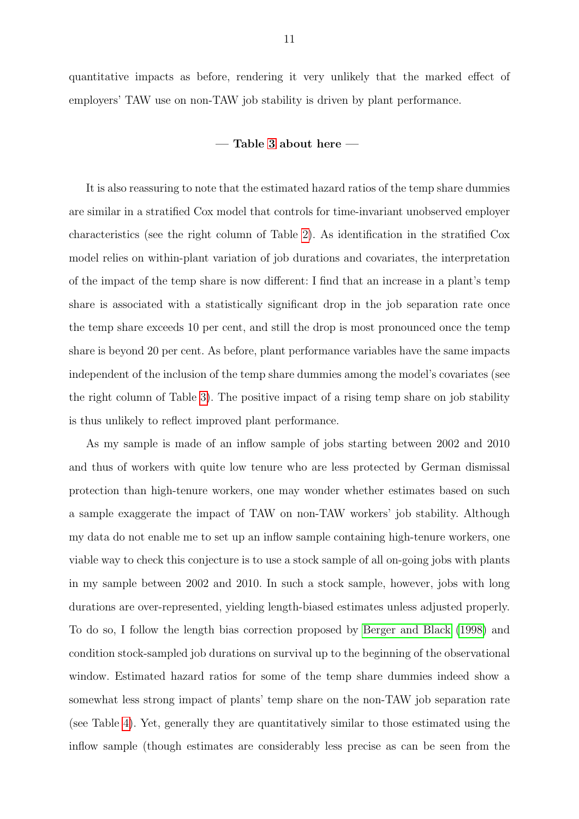quantitative impacts as before, rendering it very unlikely that the marked effect of employers' TAW use on non-TAW job stability is driven by plant performance.

#### — Table [3](#page-23-0) about here —

It is also reassuring to note that the estimated hazard ratios of the temp share dummies are similar in a stratified Cox model that controls for time-invariant unobserved employer characteristics (see the right column of Table [2\)](#page-22-0). As identification in the stratified Cox model relies on within-plant variation of job durations and covariates, the interpretation of the impact of the temp share is now different: I find that an increase in a plant's temp share is associated with a statistically significant drop in the job separation rate once the temp share exceeds 10 per cent, and still the drop is most pronounced once the temp share is beyond 20 per cent. As before, plant performance variables have the same impacts independent of the inclusion of the temp share dummies among the model's covariates (see the right column of Table [3\)](#page-23-0). The positive impact of a rising temp share on job stability is thus unlikely to reflect improved plant performance.

As my sample is made of an inflow sample of jobs starting between 2002 and 2010 and thus of workers with quite low tenure who are less protected by German dismissal protection than high-tenure workers, one may wonder whether estimates based on such a sample exaggerate the impact of TAW on non-TAW workers' job stability. Although my data do not enable me to set up an inflow sample containing high-tenure workers, one viable way to check this conjecture is to use a stock sample of all on-going jobs with plants in my sample between 2002 and 2010. In such a stock sample, however, jobs with long durations are over-represented, yielding length-biased estimates unless adjusted properly. To do so, I follow the length bias correction proposed by [Berger and Black](#page-18-12) [\(1998\)](#page-18-12) and condition stock-sampled job durations on survival up to the beginning of the observational window. Estimated hazard ratios for some of the temp share dummies indeed show a somewhat less strong impact of plants' temp share on the non-TAW job separation rate (see Table [4\)](#page-24-0). Yet, generally they are quantitatively similar to those estimated using the inflow sample (though estimates are considerably less precise as can be seen from the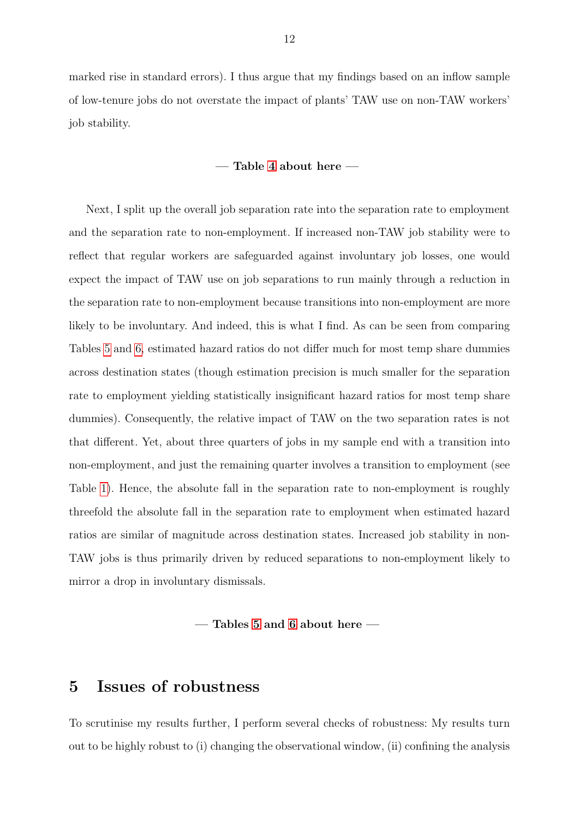marked rise in standard errors). I thus argue that my findings based on an inflow sample of low-tenure jobs do not overstate the impact of plants' TAW use on non-TAW workers' job stability.

#### — Table [4](#page-24-0) about here —

Next, I split up the overall job separation rate into the separation rate to employment and the separation rate to non-employment. If increased non-TAW job stability were to reflect that regular workers are safeguarded against involuntary job losses, one would expect the impact of TAW use on job separations to run mainly through a reduction in the separation rate to non-employment because transitions into non-employment are more likely to be involuntary. And indeed, this is what I find. As can be seen from comparing Tables [5](#page-25-0) and [6,](#page-26-0) estimated hazard ratios do not differ much for most temp share dummies across destination states (though estimation precision is much smaller for the separation rate to employment yielding statistically insignificant hazard ratios for most temp share dummies). Consequently, the relative impact of TAW on the two separation rates is not that different. Yet, about three quarters of jobs in my sample end with a transition into non-employment, and just the remaining quarter involves a transition to employment (see Table [1\)](#page-21-0). Hence, the absolute fall in the separation rate to non-employment is roughly threefold the absolute fall in the separation rate to employment when estimated hazard ratios are similar of magnitude across destination states. Increased job stability in non-TAW jobs is thus primarily driven by reduced separations to non-employment likely to mirror a drop in involuntary dismissals.

— Tables [5](#page-25-0) and [6](#page-26-0) about here —

## <span id="page-14-0"></span>5 Issues of robustness

To scrutinise my results further, I perform several checks of robustness: My results turn out to be highly robust to (i) changing the observational window, (ii) confining the analysis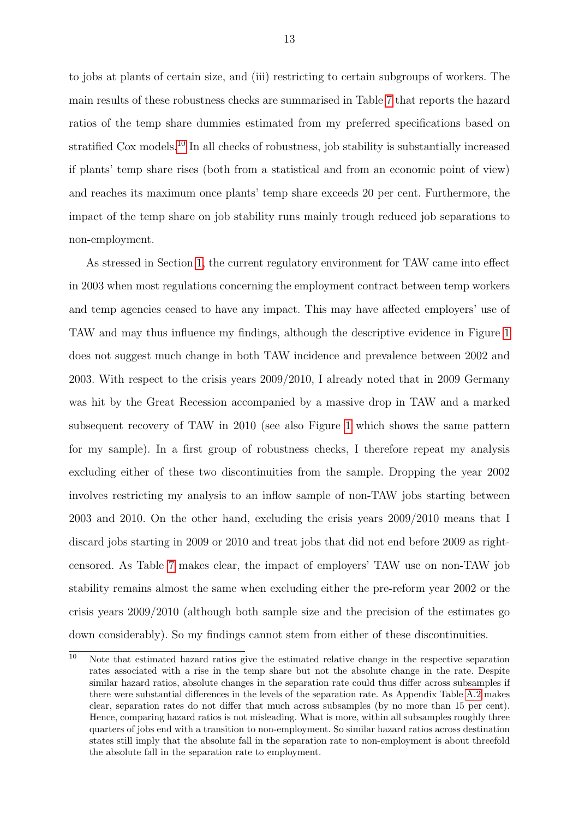to jobs at plants of certain size, and (iii) restricting to certain subgroups of workers. The main results of these robustness checks are summarised in Table [7](#page-27-0) that reports the hazard ratios of the temp share dummies estimated from my preferred specifications based on stratified Cox models.[10](#page--1-0) In all checks of robustness, job stability is substantially increased if plants' temp share rises (both from a statistical and from an economic point of view) and reaches its maximum once plants' temp share exceeds 20 per cent. Furthermore, the impact of the temp share on job stability runs mainly trough reduced job separations to non-employment.

As stressed in Section [1,](#page-3-0) the current regulatory environment for TAW came into effect in 2003 when most regulations concerning the employment contract between temp workers and temp agencies ceased to have any impact. This may have affected employers' use of TAW and may thus influence my findings, although the descriptive evidence in Figure [1](#page-20-0) does not suggest much change in both TAW incidence and prevalence between 2002 and 2003. With respect to the crisis years 2009/2010, I already noted that in 2009 Germany was hit by the Great Recession accompanied by a massive drop in TAW and a marked subsequent recovery of TAW in 2010 (see also Figure [1](#page-20-0) which shows the same pattern for my sample). In a first group of robustness checks, I therefore repeat my analysis excluding either of these two discontinuities from the sample. Dropping the year 2002 involves restricting my analysis to an inflow sample of non-TAW jobs starting between 2003 and 2010. On the other hand, excluding the crisis years 2009/2010 means that I discard jobs starting in 2009 or 2010 and treat jobs that did not end before 2009 as rightcensored. As Table [7](#page-27-0) makes clear, the impact of employers' TAW use on non-TAW job stability remains almost the same when excluding either the pre-reform year 2002 or the crisis years 2009/2010 (although both sample size and the precision of the estimates go down considerably). So my findings cannot stem from either of these discontinuities.

<sup>&</sup>lt;sup>10</sup> Note that estimated hazard ratios give the estimated relative change in the respective separation rates associated with a rise in the temp share but not the absolute change in the rate. Despite similar hazard ratios, absolute changes in the separation rate could thus differ across subsamples if there were substantial differences in the levels of the separation rate. As Appendix Table [A.2](#page-29-0) makes clear, separation rates do not differ that much across subsamples (by no more than 15 per cent). Hence, comparing hazard ratios is not misleading. What is more, within all subsamples roughly three quarters of jobs end with a transition to non-employment. So similar hazard ratios across destination states still imply that the absolute fall in the separation rate to non-employment is about threefold the absolute fall in the separation rate to employment.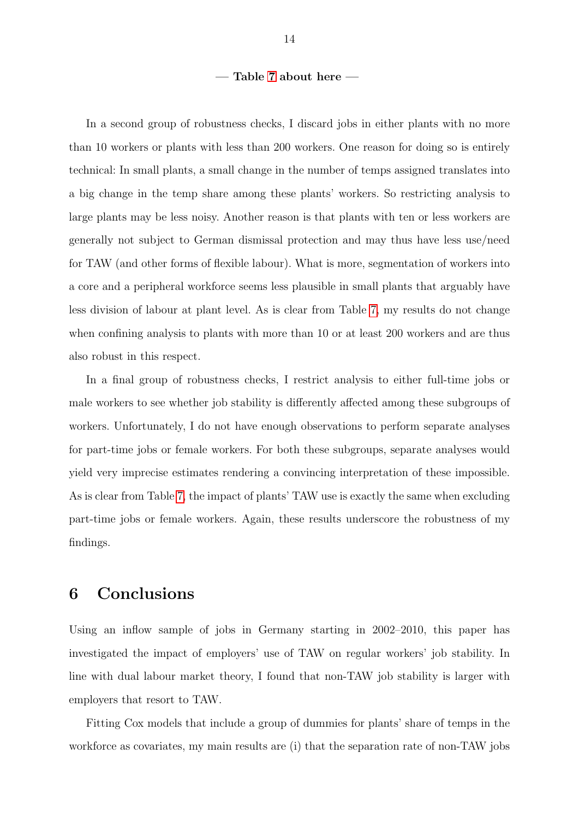#### — Table [7](#page-27-0) about here —

In a second group of robustness checks, I discard jobs in either plants with no more than 10 workers or plants with less than 200 workers. One reason for doing so is entirely technical: In small plants, a small change in the number of temps assigned translates into a big change in the temp share among these plants' workers. So restricting analysis to large plants may be less noisy. Another reason is that plants with ten or less workers are generally not subject to German dismissal protection and may thus have less use/need for TAW (and other forms of flexible labour). What is more, segmentation of workers into a core and a peripheral workforce seems less plausible in small plants that arguably have less division of labour at plant level. As is clear from Table [7,](#page-27-0) my results do not change when confining analysis to plants with more than 10 or at least 200 workers and are thus also robust in this respect.

In a final group of robustness checks, I restrict analysis to either full-time jobs or male workers to see whether job stability is differently affected among these subgroups of workers. Unfortunately, I do not have enough observations to perform separate analyses for part-time jobs or female workers. For both these subgroups, separate analyses would yield very imprecise estimates rendering a convincing interpretation of these impossible. As is clear from Table [7,](#page-27-0) the impact of plants' TAW use is exactly the same when excluding part-time jobs or female workers. Again, these results underscore the robustness of my findings.

## <span id="page-16-0"></span>6 Conclusions

Using an inflow sample of jobs in Germany starting in 2002–2010, this paper has investigated the impact of employers' use of TAW on regular workers' job stability. In line with dual labour market theory, I found that non-TAW job stability is larger with employers that resort to TAW.

Fitting Cox models that include a group of dummies for plants' share of temps in the workforce as covariates, my main results are (i) that the separation rate of non-TAW jobs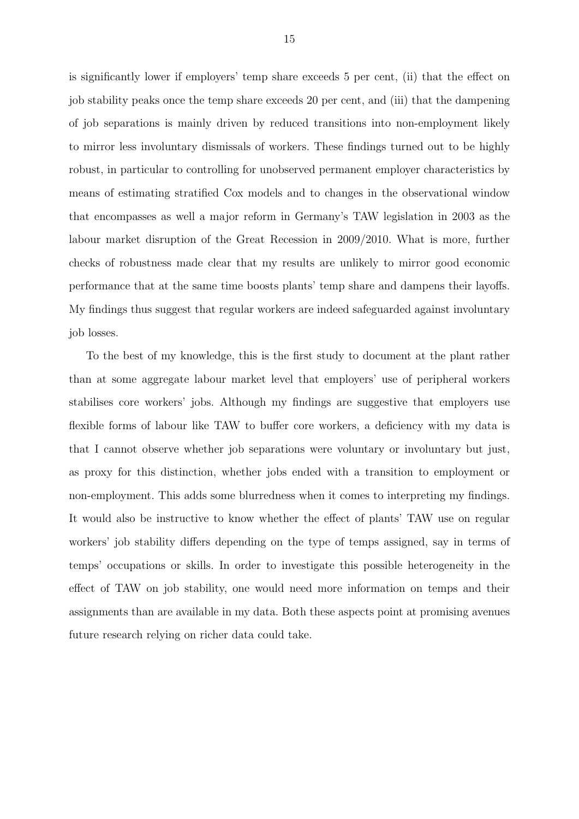is significantly lower if employers' temp share exceeds 5 per cent, (ii) that the effect on job stability peaks once the temp share exceeds 20 per cent, and (iii) that the dampening of job separations is mainly driven by reduced transitions into non-employment likely to mirror less involuntary dismissals of workers. These findings turned out to be highly robust, in particular to controlling for unobserved permanent employer characteristics by means of estimating stratified Cox models and to changes in the observational window that encompasses as well a major reform in Germany's TAW legislation in 2003 as the labour market disruption of the Great Recession in 2009/2010. What is more, further checks of robustness made clear that my results are unlikely to mirror good economic performance that at the same time boosts plants' temp share and dampens their layoffs. My findings thus suggest that regular workers are indeed safeguarded against involuntary job losses.

To the best of my knowledge, this is the first study to document at the plant rather than at some aggregate labour market level that employers' use of peripheral workers stabilises core workers' jobs. Although my findings are suggestive that employers use flexible forms of labour like TAW to buffer core workers, a deficiency with my data is that I cannot observe whether job separations were voluntary or involuntary but just, as proxy for this distinction, whether jobs ended with a transition to employment or non-employment. This adds some blurredness when it comes to interpreting my findings. It would also be instructive to know whether the effect of plants' TAW use on regular workers' job stability differs depending on the type of temps assigned, say in terms of temps' occupations or skills. In order to investigate this possible heterogeneity in the effect of TAW on job stability, one would need more information on temps and their assignments than are available in my data. Both these aspects point at promising avenues future research relying on richer data could take.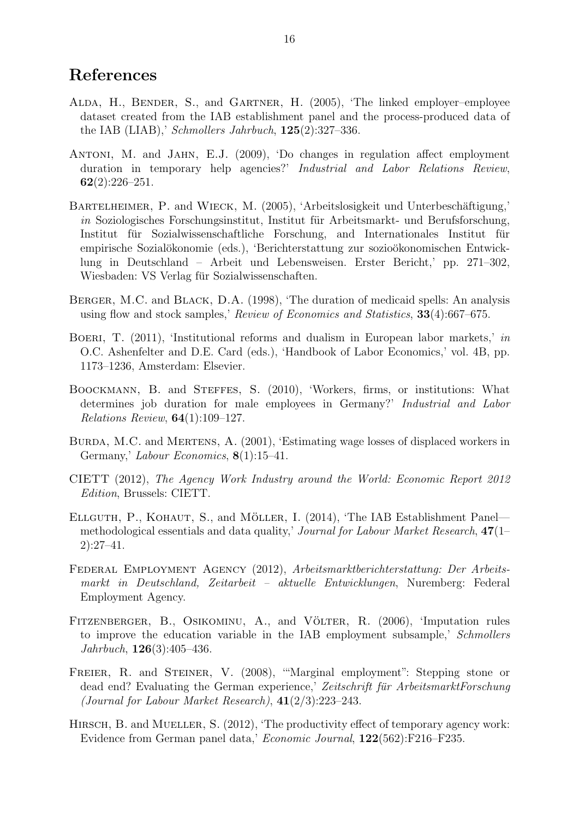## References

- <span id="page-18-5"></span>ALDA, H., BENDER, S., and GARTNER, H. (2005), 'The linked employer-employee dataset created from the IAB establishment panel and the process-produced data of the IAB (LIAB),' Schmollers Jahrbuch,  $125(2):327-336$ .
- <span id="page-18-4"></span>Antoni, M. and Jahn, E.J. (2009), 'Do changes in regulation affect employment duration in temporary help agencies?' Industrial and Labor Relations Review,  $62(2):226-251.$
- <span id="page-18-9"></span>BARTELHEIMER, P. and WIECK, M. (2005), 'Arbeitslosigkeit und Unterbeschäftigung,'  $in$  Soziologisches Forschungsinstitut, Institut für Arbeitsmarkt- und Berufsforschung, Institut für Sozialwissenschaftliche Forschung, and Internationales Institut für empirische Sozialökonomie (eds.), 'Berichterstattung zur sozioökonomischen Entwicklung in Deutschland – Arbeit und Lebensweisen. Erster Bericht,' pp. 271–302, Wiesbaden: VS Verlag für Sozialwissenschaften.
- <span id="page-18-12"></span>BERGER, M.C. and BLACK, D.A. (1998), 'The duration of medicaid spells: An analysis using flow and stock samples,' Review of Economics and Statistics, 33(4):667–675.
- <span id="page-18-0"></span>BOERI, T. (2011), 'Institutional reforms and dualism in European labor markets,' in O.C. Ashenfelter and D.E. Card (eds.), 'Handbook of Labor Economics,' vol. 4B, pp. 1173–1236, Amsterdam: Elsevier.
- <span id="page-18-11"></span>Boockmann, B. and Steffes, S. (2010), 'Workers, firms, or institutions: What determines job duration for male employees in Germany?' Industrial and Labor *Relations Review*,  $64(1):109-127$ .
- <span id="page-18-10"></span>BURDA, M.C. and MERTENS, A. (2001), 'Estimating wage losses of displaced workers in Germany,' Labour Economics, 8(1):15–41.
- <span id="page-18-1"></span>CIETT (2012), The Agency Work Industry around the World: Economic Report 2012 Edition, Brussels: CIETT.
- <span id="page-18-6"></span>ELLGUTH, P., KOHAUT, S., and MÖLLER, I. (2014), 'The IAB Establishment Panel methodological essentials and data quality,' Journal for Labour Market Research, 47(1– 2):27–41.
- <span id="page-18-3"></span>Federal Employment Agency (2012), Arbeitsmarktberichterstattung: Der Arbeitsmarkt in Deutschland, Zeitarbeit – aktuelle Entwicklungen, Nuremberg: Federal Employment Agency.
- <span id="page-18-7"></span>FITZENBERGER, B., OSIKOMINU, A., and VÖLTER, R. (2006), 'Imputation rules to improve the education variable in the IAB employment subsample,' Schmollers Jahrbuch, 126(3):405–436.
- <span id="page-18-8"></span>FREIER, R. and STEINER, V. (2008), "Marginal employment": Stepping stone or dead end? Evaluating the German experience,' Zeitschrift für ArbeitsmarktForschung (Journal for Labour Market Research), 41(2/3):223–243.
- <span id="page-18-2"></span>HIRSCH, B. and MUELLER, S. (2012), 'The productivity effect of temporary agency work: Evidence from German panel data,' Economic Journal, 122(562):F216–F235.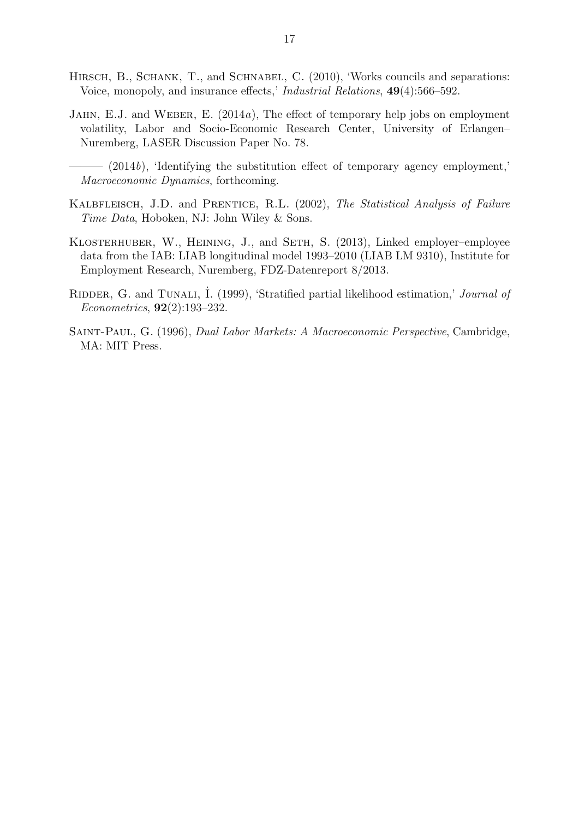- <span id="page-19-6"></span>HIRSCH, B., SCHANK, T., and SCHNABEL, C. (2010), 'Works councils and separations: Voice, monopoly, and insurance effects,' Industrial Relations, 49(4):566–592.
- <span id="page-19-1"></span>JAHN, E.J. and WEBER, E. (2014a), The effect of temporary help jobs on employment volatility, Labor and Socio-Economic Research Center, University of Erlangen– Nuremberg, LASER Discussion Paper No. 78.
	- $-$  (2014b), 'Identifying the substitution effect of temporary agency employment,' Macroeconomic Dynamics, forthcoming.
- <span id="page-19-5"></span><span id="page-19-3"></span>KALBFLEISCH, J.D. and PRENTICE, R.L. (2002), The Statistical Analysis of Failure Time Data, Hoboken, NJ: John Wiley & Sons.
- <span id="page-19-2"></span>Klosterhuber, W., Heining, J., and Seth, S. (2013), Linked employer–employee data from the IAB: LIAB longitudinal model 1993–2010 (LIAB LM 9310), Institute for Employment Research, Nuremberg, FDZ-Datenreport 8/2013.
- <span id="page-19-4"></span>RIDDER, G. and TUNALI, I. (1999), 'Stratified partial likelihood estimation,' Journal of Econometrics, 92(2):193–232.
- <span id="page-19-0"></span>Saint-Paul, G. (1996), Dual Labor Markets: A Macroeconomic Perspective, Cambridge, MA: MIT Press.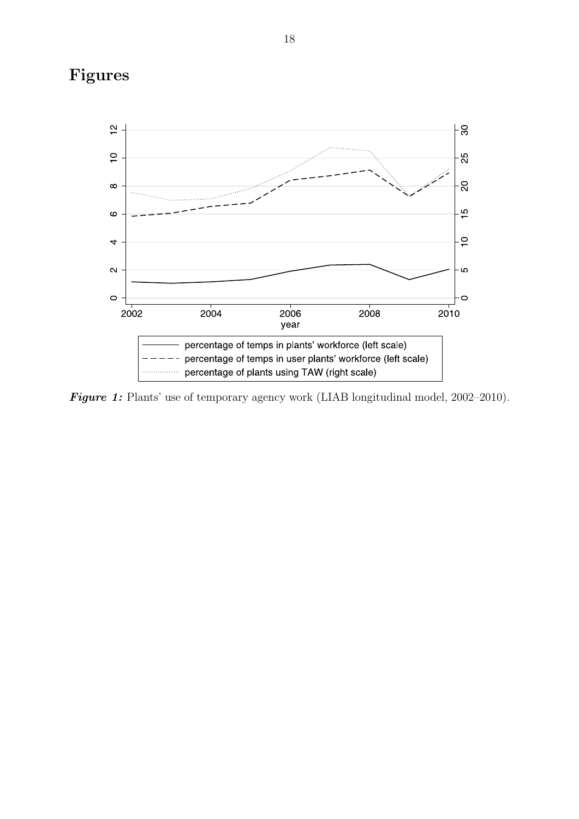## Figures

<span id="page-20-0"></span>

Figure 1: Plants' use of temporary agency work (LIAB longitudinal model, 2002–2010).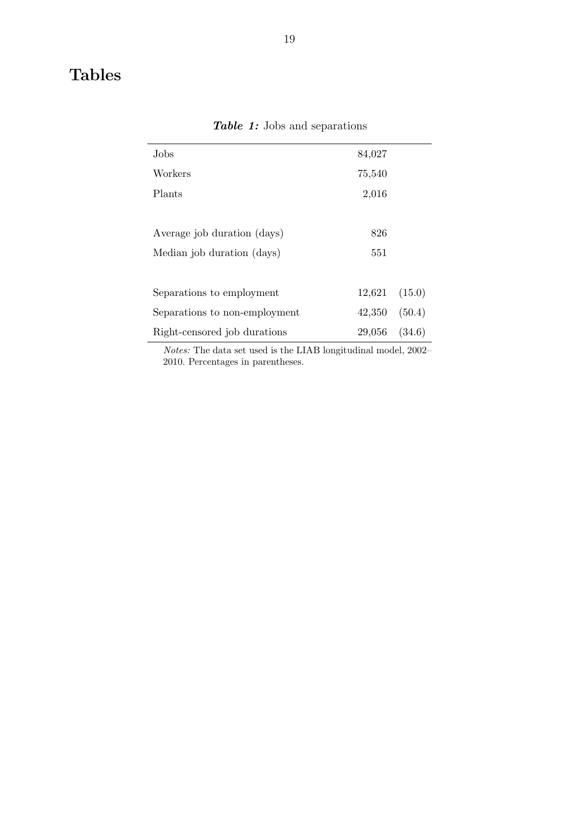## <span id="page-21-0"></span>Tables

| Jobs                          | 84,027 |        |
|-------------------------------|--------|--------|
| Workers                       | 75,540 |        |
| Plants                        | 2,016  |        |
|                               |        |        |
| Average job duration (days)   | 826    |        |
| Median job duration (days)    | 551    |        |
|                               |        |        |
| Separations to employment     | 12,621 | (15.0) |
| Separations to non-employment | 42,350 | (50.4) |
| Right-censored job durations  | 29,056 | (34.6) |
|                               |        |        |

Table 1: Jobs and separations

Notes: The data set used is the LIAB longitudinal model, 2002– 2010. Percentages in parentheses.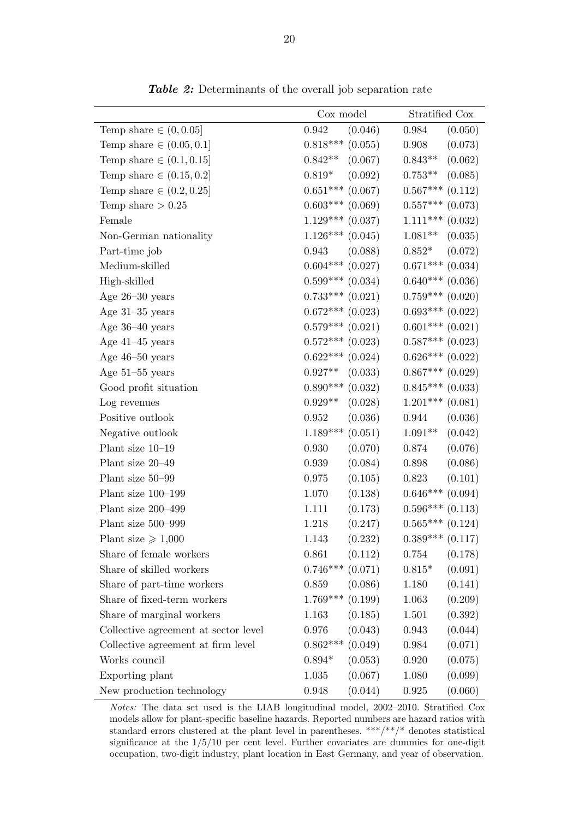<span id="page-22-0"></span>

|                                      | Cox model             | Stratified Cox       |  |
|--------------------------------------|-----------------------|----------------------|--|
| Temp share $\in (0, 0.05]$           | 0.942<br>(0.046)      | 0.984<br>(0.050)     |  |
| Temp share $\in (0.05, 0.1]$         | $0.818***$ $(0.055)$  | (0.073)<br>0.908     |  |
| Temp share $\in (0.1, 0.15]$         | (0.067)<br>$0.842**$  | (0.062)<br>$0.843**$ |  |
| Temp share $\in (0.15, 0.2]$         | (0.092)<br>$0.819*$   | (0.085)<br>$0.753**$ |  |
| Temp share $\in (0.2, 0.25]$         | $0.651***$ (0.067)    | $0.567***$ $(0.112)$ |  |
| Temp share $> 0.25$                  | $0.603***$ $(0.069)$  | $0.557***$ $(0.073)$ |  |
| Female                               | $1.129***$ (0.037)    | $1.111***$ (0.032)   |  |
| Non-German nationality               | $1.126***$ $(0.045)$  | $1.081**$<br>(0.035) |  |
| Part-time job                        | (0.088)<br>0.943      | (0.072)<br>$0.852*$  |  |
| Medium-skilled                       | $0.604***$ $(0.027)$  | $0.671***$ $(0.034)$ |  |
| High-skilled                         | $0.599***$ $(0.034)$  | $0.640***$ $(0.036)$ |  |
| Age $26-30$ years                    | $0.733***$ $(0.021)$  | $0.759***$ $(0.020)$ |  |
| Age $31-35$ years                    | $0.672***$ $(0.023)$  | $0.693***$ $(0.022)$ |  |
| Age $36-40$ years                    | $0.579***$ $(0.021)$  | $0.601***$ $(0.021)$ |  |
| Age $41-45$ years                    | $0.572***$ $(0.023)$  | $0.587***$ $(0.023)$ |  |
| Age $46-50$ years                    | $0.622***$ (0.024)    | $0.626***$ $(0.022)$ |  |
| Age $51-55$ years                    | (0.033)<br>$0.927**$  | $0.867***$ $(0.029)$ |  |
| Good profit situation                | $0.890***$ $(0.032)$  | $0.845***$ $(0.033)$ |  |
| Log revenues                         | (0.028)<br>$0.929**$  | $1.201***$ $(0.081)$ |  |
| Positive outlook                     | 0.952<br>(0.036)      | (0.036)<br>0.944     |  |
| Negative outlook                     | $1.189***$<br>(0.051) | $1.091**$<br>(0.042) |  |
| Plant size 10-19                     | 0.930<br>(0.070)      | (0.076)<br>0.874     |  |
| Plant size 20-49                     | (0.084)<br>0.939      | (0.086)<br>0.898     |  |
| Plant size 50-99                     | (0.105)<br>$0.975\,$  | (0.101)<br>0.823     |  |
| Plant size 100-199                   | (0.138)<br>1.070      | $0.646***$ (0.094)   |  |
| Plant size 200-499                   | (0.173)<br>1.111      | $0.596***$ $(0.113)$ |  |
| Plant size 500-999                   | (0.247)<br>1.218      | $0.565***$ $(0.124)$ |  |
| Plant size $\geq 1,000$              | (0.232)<br>1.143      | $0.389***$ $(0.117)$ |  |
| Share of female workers              | (0.112)<br>0.861      | (0.178)<br>0.754     |  |
| Share of skilled workers             | $0.746***$ $(0.071)$  | $0.815*$<br>(0.091)  |  |
| Share of part-time workers           | (0.086)<br>0.859      | (0.141)<br>1.180     |  |
| Share of fixed-term workers          | $1.769***$<br>(0.199) | (0.209)<br>1.063     |  |
| Share of marginal workers            | (0.185)<br>1.163      | (0.392)<br>1.501     |  |
| Collective agreement at sector level | (0.043)<br>0.976      | (0.044)<br>0.943     |  |
| Collective agreement at firm level   | (0.049)<br>$0.862***$ | (0.071)<br>0.984     |  |
| Works council                        | (0.053)<br>$0.894*$   | (0.075)<br>0.920     |  |
| Exporting plant                      | (0.067)<br>1.035      | (0.099)<br>1.080     |  |
| New production technology            | (0.044)<br>0.948      | (0.060)<br>0.925     |  |

Table 2: Determinants of the overall job separation rate

Notes: The data set used is the LIAB longitudinal model, 2002–2010. Stratified Cox models allow for plant-specific baseline hazards. Reported numbers are hazard ratios with standard errors clustered at the plant level in parentheses. \*\*\*/\*\*/\* denotes statistical significance at the  $1/5/10$  per cent level. Further covariates are dummies for one-digit occupation, two-digit industry, plant location in East Germany, and year of observation.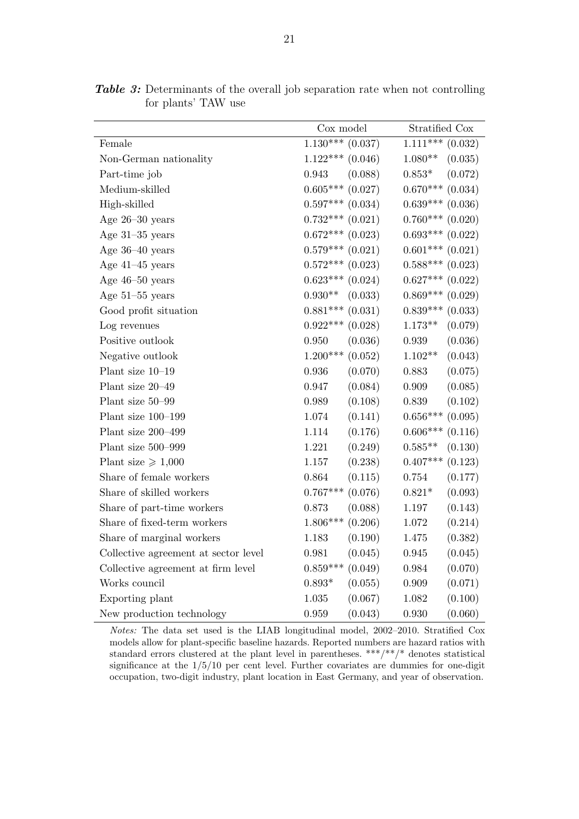|                                      | Cox model                  | Stratified Cox        |  |
|--------------------------------------|----------------------------|-----------------------|--|
| Female                               | $1.130***$<br>(0.037)      | $1.111***$<br>(0.032) |  |
| Non-German nationality               | $1.122***$<br>(0.046)      | $1.080**$<br>(0.035)  |  |
| Part-time job                        | (0.088)<br>0.943           | $0.853*$<br>(0.072)   |  |
| Medium-skilled                       | $0.605^{***}\;$<br>(0.027) | $0.670***$<br>(0.034) |  |
| High-skilled                         | $0.597***$<br>(0.034)      | $0.639***$<br>(0.036) |  |
| Age $26-30$ years                    | $0.732***$<br>(0.021)      | $0.760***$<br>(0.020) |  |
| Age $31-35$ years                    | $0.672***$ (0.023)         | $0.693***$ $(0.022)$  |  |
| Age 36-40 years                      | $0.579***$<br>(0.021)      | $0.601***$<br>(0.021) |  |
| Age $41-45$ years                    | $0.572***$<br>(0.023)      | $0.588***$<br>(0.023) |  |
| Age $46-50$ years                    | $0.623***$<br>(0.024)      | $0.627***$ $(0.022)$  |  |
| Age $51-55$ years                    | $0.930**$<br>(0.033)       | $0.869***$ $(0.029)$  |  |
| Good profit situation                | $0.881***$<br>(0.031)      | $0.839***$<br>(0.033) |  |
| Log revenues                         | $0.922***$<br>(0.028)      | $1.173**$<br>(0.079)  |  |
| Positive outlook                     | (0.036)<br>0.950           | (0.036)<br>0.939      |  |
| Negative outlook                     | $1.200***$<br>(0.052)      | $1.102**$<br>(0.043)  |  |
| Plant size 10-19                     | (0.070)<br>0.936           | 0.883<br>(0.075)      |  |
| Plant size 20-49                     | (0.084)<br>0.947           | 0.909<br>(0.085)      |  |
| Plant size 50-99                     | (0.108)<br>0.989           | (0.102)<br>0.839      |  |
| Plant size 100-199                   | 1.074<br>(0.141)           | $0.656***$<br>(0.095) |  |
| Plant size 200-499                   | 1.114<br>(0.176)           | $0.606***$<br>(0.116) |  |
| Plant size 500-999                   | 1.221<br>(0.249)           | $0.585**$<br>(0.130)  |  |
| Plant size $\geq 1,000$              | (0.238)<br>1.157           | $0.407***$<br>(0.123) |  |
| Share of female workers              | 0.864<br>(0.115)           | 0.754<br>(0.177)      |  |
| Share of skilled workers             | $0.767***$<br>(0.076)      | $0.821*$<br>(0.093)   |  |
| Share of part-time workers           | (0.088)<br>0.873           | (0.143)<br>1.197      |  |
| Share of fixed-term workers          | $1.806***$<br>(0.206)      | (0.214)<br>1.072      |  |
| Share of marginal workers            | 1.183<br>(0.190)           | 1.475<br>(0.382)      |  |
| Collective agreement at sector level | 0.981<br>(0.045)           | 0.945<br>(0.045)      |  |
| Collective agreement at firm level   | $0.859***$<br>(0.049)      | (0.070)<br>0.984      |  |
| Works council                        | (0.055)<br>$0.893*$        | 0.909<br>(0.071)      |  |
| Exporting plant                      | 1.035<br>(0.067)           | (0.100)<br>1.082      |  |
| New production technology            | (0.043)<br>0.959           | (0.060)<br>0.930      |  |

<span id="page-23-0"></span>Table 3: Determinants of the overall job separation rate when not controlling for plants' TAW use

Notes: The data set used is the LIAB longitudinal model, 2002–2010. Stratified Cox models allow for plant-specific baseline hazards. Reported numbers are hazard ratios with standard errors clustered at the plant level in parentheses. \*\*\*/\*\*/\* denotes statistical significance at the 1/5/10 per cent level. Further covariates are dummies for one-digit occupation, two-digit industry, plant location in East Germany, and year of observation.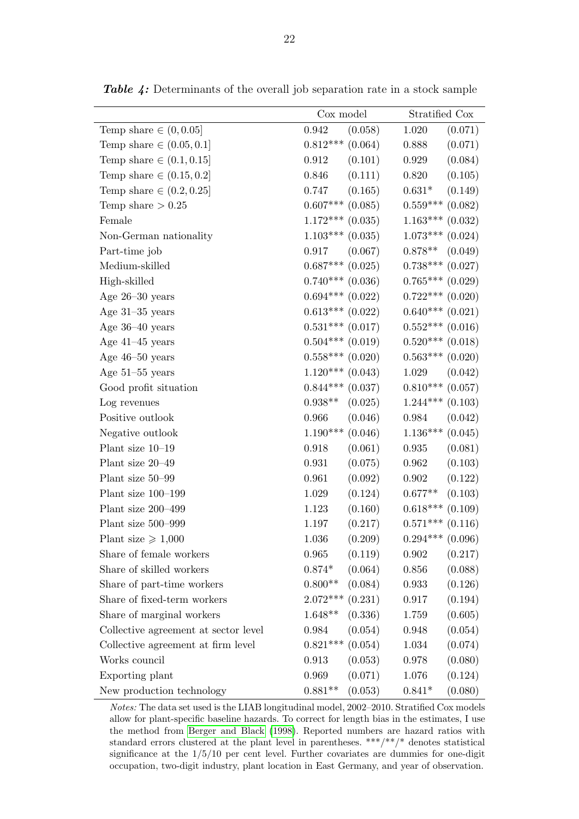|                                      | Cox model             | Stratified Cox             |
|--------------------------------------|-----------------------|----------------------------|
| Temp share $\in (0, 0.05]$           | 0.942<br>(0.058)      | 1.020<br>(0.071)           |
| Temp share $\in (0.05, 0.1]$         | $0.812***$ (0.064)    | (0.071)<br>0.888           |
| Temp share $\in (0.1, 0.15]$         | (0.101)<br>0.912      | (0.084)<br>0.929           |
| Temp share $\in (0.15, 0.2]$         | (0.111)<br>0.846      | (0.105)<br>0.820           |
| Temp share $\in (0.2, 0.25]$         | 0.747<br>(0.165)      | $0.631*$<br>(0.149)        |
| Temp share $> 0.25$                  | $0.607***$ $(0.085)$  | $0.559***$ $(0.082)$       |
| Female                               | $1.172***$ (0.035)    | $1.163***$ (0.032)         |
| Non-German nationality               | $1.103***$ (0.035)    | $1.073***$ $(0.024)$       |
| Part-time job                        | (0.067)<br>0.917      | $0.878**$<br>(0.049)       |
| Medium-skilled                       | $0.687***$ $(0.025)$  | $0.738***$ $(0.027)$       |
| High-skilled                         | $0.740***$ (0.036)    | $0.765***$ $(0.029)$       |
| Age $26-30$ years                    | $0.694***$ $(0.022)$  | $0.722***$ $(0.020)$       |
| Age $31-35$ years                    | $0.613***$ $(0.022)$  | $0.640***$ $(0.021)$       |
| Age $36-40$ years                    | $0.531***$ $(0.017)$  | $0.552***$ (0.016)         |
| Age $41-45$ years                    | $0.504***$ $(0.019)$  | $0.520***$ (0.018)         |
| Age $46-50$ years                    | $0.558***$ $(0.020)$  | $0.563***$ $(0.020)$       |
| Age $51-55$ years                    | $1.120***$ (0.043)    | (0.042)<br>1.029           |
| Good profit situation                | $0.844***$ $(0.037)$  | $0.810***$ (0.057)         |
| Log revenues                         | (0.025)<br>$0.938**$  | $1.244***$ (0.103)         |
| Positive outlook                     | 0.966<br>(0.046)      | (0.042)<br>0.984           |
| Negative outlook                     | $1.190***$<br>(0.046) | $1.136***$<br>(0.045)      |
| Plant size $10-19$                   | 0.918<br>(0.061)      | 0.935<br>(0.081)           |
| Plant size 20-49                     | (0.075)<br>0.931      | (0.103)<br>0.962           |
| Plant size 50–99                     | (0.092)<br>0.961      | (0.122)<br>0.902           |
| Plant size 100-199                   | 1.029<br>(0.124)      | (0.103)<br>$0.677**$       |
| Plant size 200-499                   | (0.160)<br>1.123      | $0.618^{***}\;$<br>(0.109) |
| Plant size 500-999                   | (0.217)<br>1.197      | $0.571***$ (0.116)         |
| Plant size $\geq 1,000$              | (0.209)<br>1.036      | $0.294***$ $(0.096)$       |
| Share of female workers              | (0.119)<br>0.965      | (0.217)<br>0.902           |
| Share of skilled workers             | $0.874*$<br>(0.064)   | (0.088)<br>0.856           |
| Share of part-time workers           | $0.800**$<br>(0.084)  | (0.126)<br>0.933           |
| Share of fixed-term workers          | $2.072***$ $(0.231)$  | (0.194)<br>0.917           |
| Share of marginal workers            | (0.336)<br>$1.648**$  | (0.605)<br>1.759           |
| Collective agreement at sector level | (0.054)<br>0.984      | (0.054)<br>0.948           |
| Collective agreement at firm level   | (0.054)<br>$0.821***$ | (0.074)<br>1.034           |
| Works council                        | (0.053)<br>0.913      | (0.080)<br>0.978           |
| Exporting plant                      | 0.969<br>(0.071)      | 1.076<br>(0.124)           |
| New production technology            | $0.881**$<br>(0.053)  | (0.080)<br>$0.841*$        |

<span id="page-24-0"></span>Table 4: Determinants of the overall job separation rate in a stock sample

Notes: The data set used is the LIAB longitudinal model, 2002–2010. Stratified Cox models allow for plant-specific baseline hazards. To correct for length bias in the estimates, I use the method from [Berger and Black](#page-18-12) [\(1998\)](#page-18-12). Reported numbers are hazard ratios with standard errors clustered at the plant level in parentheses. \*\*\*/\*\*/\* denotes statistical significance at the 1/5/10 per cent level. Further covariates are dummies for one-digit occupation, two-digit industry, plant location in East Germany, and year of observation.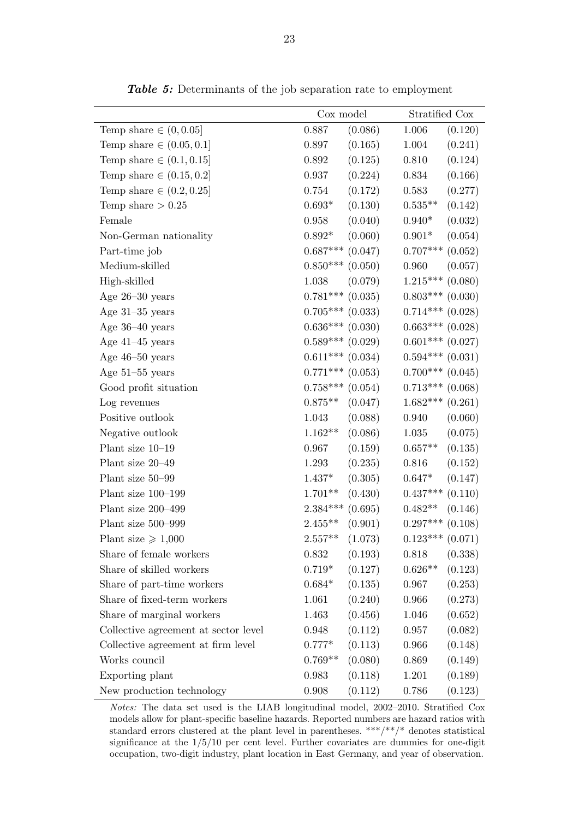<span id="page-25-0"></span>

|                                      | Cox model            |         | Stratified Cox       |         |
|--------------------------------------|----------------------|---------|----------------------|---------|
| Temp share $\in (0, 0.05]$           | 0.887                | (0.086) | 1.006                | (0.120) |
| Temp share $\in (0.05, 0.1]$         | 0.897                | (0.165) | 1.004                | (0.241) |
| Temp share $\in (0.1, 0.15]$         | 0.892                | (0.125) | 0.810                | (0.124) |
| Temp share $\in (0.15, 0.2]$         | 0.937                | (0.224) | 0.834                | (0.166) |
| Temp share $\in (0.2, 0.25]$         | 0.754                | (0.172) | 0.583                | (0.277) |
| Temp share $>0.25$                   | $0.693*$             | (0.130) | $0.535**$            | (0.142) |
| Female                               | 0.958                | (0.040) | $0.940*$             | (0.032) |
| Non-German nationality               | $0.892*$             | (0.060) | $0.901*$             | (0.054) |
| Part-time job                        | $0.687***$ $(0.047)$ |         | $0.707***$           | (0.052) |
| Medium-skilled                       | $0.850***$ $(0.050)$ |         | 0.960                | (0.057) |
| High-skilled                         | 1.038                | (0.079) | $1.215***$           | (0.080) |
| Age $26-30$ years                    | $0.781***$ $(0.035)$ |         | $0.803***$ (0.030)   |         |
| Age $31-35$ years                    | $0.705***$ (0.033)   |         | $0.714***$ $(0.028)$ |         |
| Age $36-40$ years                    | $0.636***$ $(0.030)$ |         | $0.663***$ $(0.028)$ |         |
| Age $41-45$ years                    | $0.589***$ $(0.029)$ |         | $0.601***$ (0.027)   |         |
| Age $46-50$ years                    | $0.611***$ (0.034)   |         | $0.594***$ $(0.031)$ |         |
| Age $51-55$ years                    | $0.771***$ (0.053)   |         | $0.700***$ (0.045)   |         |
| Good profit situation                | $0.758***$ $(0.054)$ |         | $0.713***$ $(0.068)$ |         |
| Log revenues                         | $0.875**$            | (0.047) | $1.682***$ (0.261)   |         |
| Positive outlook                     | 1.043                | (0.088) | 0.940                | (0.060) |
| Negative outlook                     | $1.162**$            | (0.086) | 1.035                | (0.075) |
| Plant size 10-19                     | 0.967                | (0.159) | $0.657**$            | (0.135) |
| Plant size 20-49                     | 1.293                | (0.235) | 0.816                | (0.152) |
| Plant size 50-99                     | $1.437*$             | (0.305) | $0.647*$             | (0.147) |
| Plant size 100-199                   | $1.701**$            | (0.430) | $0.437***$ $(0.110)$ |         |
| Plant size 200-499                   | $2.384***$           | (0.695) | $0.482**$            | (0.146) |
| Plant size 500-999                   | $2.455**$            | (0.901) | $0.297***$ $(0.108)$ |         |
| Plant size $\geq 1,000$              | $2.557**$            | (1.073) | $0.123***$ $(0.071)$ |         |
| Share of female workers              | 0.832                | (0.193) | 0.818                | (0.338) |
| Share of skilled workers             | $0.719*$             | (0.127) | $0.626**$            | (0.123) |
| Share of part-time workers           | $0.684*$             | (0.135) | 0.967                | (0.253) |
| Share of fixed-term workers          | 1.061                | (0.240) | 0.966                | (0.273) |
| Share of marginal workers            | 1.463                | (0.456) | 1.046                | (0.652) |
| Collective agreement at sector level | 0.948                | (0.112) | 0.957                | (0.082) |
| Collective agreement at firm level   | $0.777*$             | (0.113) | 0.966                | (0.148) |
| Works council                        | $0.769**$            | (0.080) | 0.869                | (0.149) |
| Exporting plant                      | 0.983                | (0.118) | 1.201                | (0.189) |
| New production technology            | $0.908\,$            | (0.112) | 0.786                | (0.123) |

Table 5: Determinants of the job separation rate to employment

Notes: The data set used is the LIAB longitudinal model, 2002–2010. Stratified Cox models allow for plant-specific baseline hazards. Reported numbers are hazard ratios with standard errors clustered at the plant level in parentheses. \*\*\*/\*\*/\* denotes statistical significance at the  $1/5/10$  per cent level. Further covariates are dummies for one-digit occupation, two-digit industry, plant location in East Germany, and year of observation.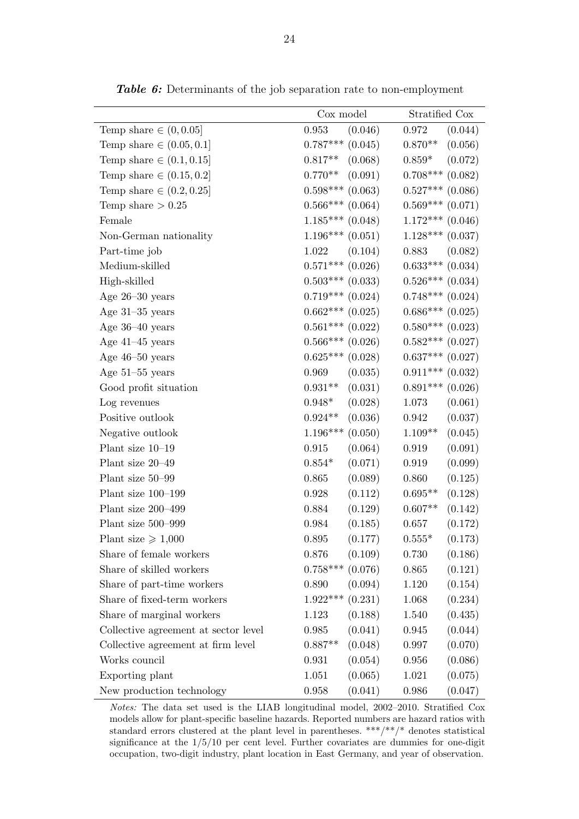<span id="page-26-0"></span>

|                                      | Cox model             | Stratified Cox        |
|--------------------------------------|-----------------------|-----------------------|
| Temp share $\in (0, 0.05]$           | 0.953<br>(0.046)      | 0.972<br>(0.044)      |
| Temp share $\in (0.05, 0.1]$         | $0.787***$ $(0.045)$  | $0.870**$<br>(0.056)  |
| Temp share $\in (0.1, 0.15]$         | (0.068)<br>$0.817**$  | (0.072)<br>$0.859*$   |
| Temp share $\in (0.15, 0.2]$         | (0.091)<br>$0.770**$  | $0.708***$<br>(0.082) |
| Temp share $\in (0.2, 0.25]$         | $0.598***$ $(0.063)$  | $0.527***$ (0.086)    |
| Temp share $> 0.25$                  | $0.566***$ (0.064)    | $0.569***$ $(0.071)$  |
| Female                               | $1.185***$ (0.048)    | $1.172***$ (0.046)    |
| Non-German nationality               | $1.196***$ $(0.051)$  | $1.128***$ (0.037)    |
| Part-time job                        | (0.104)<br>1.022      | (0.082)<br>0.883      |
| Medium-skilled                       | $0.571***$ $(0.026)$  | $0.633***$ $(0.034)$  |
| High-skilled                         | $0.503***$ (0.033)    | $0.526***$ $(0.034)$  |
| Age $26-30$ years                    | $0.719***$ $(0.024)$  | $0.748***$ $(0.024)$  |
| Age $31-35$ years                    | $0.662***$ $(0.025)$  | $0.686***$ (0.025)    |
| Age $36-40$ years                    | $0.561***$ (0.022)    | $0.580***$ $(0.023)$  |
| Age $41-45$ years                    | $0.566***(0.026)$     | $0.582***$ (0.027)    |
| Age $46-50$ years                    | $0.625***$ $(0.028)$  | $0.637***$ $(0.027)$  |
| Age $51-55$ years                    | (0.035)<br>0.969      | $0.911***$ $(0.032)$  |
| Good profit situation                | (0.031)<br>$0.931**$  | $0.891***$ $(0.026)$  |
| Log revenues                         | (0.028)<br>$0.948*$   | (0.061)<br>1.073      |
| Positive outlook                     | (0.036)<br>$0.924**$  | (0.037)<br>0.942      |
| Negative outlook                     | $1.196***$<br>(0.050) | (0.045)<br>$1.109**$  |
| Plant size 10-19                     | 0.915<br>(0.064)      | (0.091)<br>0.919      |
| Plant size 20-49                     | (0.071)<br>$0.854*$   | (0.099)<br>0.919      |
| Plant size 50-99                     | (0.089)<br>0.865      | 0.860<br>(0.125)      |
| Plant size 100-199                   | (0.112)<br>0.928      | $0.695**$<br>(0.128)  |
| Plant size 200-499                   | 0.884<br>(0.129)      | $0.607**$<br>(0.142)  |
| Plant size 500-999                   | (0.185)<br>0.984      | (0.172)<br>0.657      |
| Plant size $\geq 1,000$              | $0.895\,$<br>(0.177)  | $0.555*$<br>(0.173)   |
| Share of female workers              | (0.109)<br>0.876      | (0.186)<br>0.730      |
| Share of skilled workers             | $0.758***$ $(0.076)$  | (0.121)<br>0.865      |
| Share of part-time workers           | (0.094)<br>0.890      | (0.154)<br>1.120      |
| Share of fixed-term workers          | $1.922***$<br>(0.231) | (0.234)<br>1.068      |
| Share of marginal workers            | (0.188)<br>1.123      | 1.540<br>(0.435)      |
| Collective agreement at sector level | (0.041)<br>0.985      | (0.044)<br>0.945      |
| Collective agreement at firm level   | (0.048)<br>$0.887**$  | (0.070)<br>0.997      |
| Works council                        | (0.054)<br>0.931      | (0.086)<br>0.956      |
| Exporting plant                      | (0.065)<br>1.051      | (0.075)<br>1.021      |
| New production technology            | (0.041)<br>0.958      | (0.047)<br>0.986      |

Table 6: Determinants of the job separation rate to non-employment

Notes: The data set used is the LIAB longitudinal model, 2002–2010. Stratified Cox models allow for plant-specific baseline hazards. Reported numbers are hazard ratios with standard errors clustered at the plant level in parentheses. \*\*\*/\*\*/\* denotes statistical significance at the  $1/5/10$  per cent level. Further covariates are dummies for one-digit occupation, two-digit industry, plant location in East Germany, and year of observation.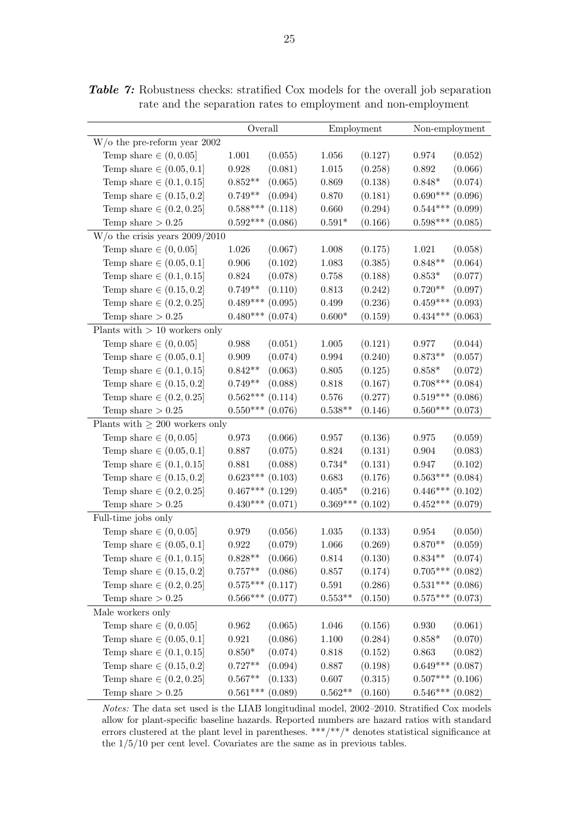|                                           | Overall                |         | Employment     |         | Non-employment       |         |
|-------------------------------------------|------------------------|---------|----------------|---------|----------------------|---------|
| $W/\text{o}$ the pre-reform year 2002     |                        |         |                |         |                      |         |
| Temp share $\in (0, 0.05]$                | 1.001                  | (0.055) | 1.056          | (0.127) | 0.974                | (0.052) |
| Temp share $\in (0.05, 0.1]$              | 0.928                  | (0.081) | $1.015\,$      | (0.258) | 0.892                | (0.066) |
| Temp share $\in (0.1, 0.15]$              | $0.852**$              | (0.065) | 0.869          | (0.138) | $0.848*$             | (0.074) |
| Temp share $\in (0.15, 0.2]$              | $0.749**$              | (0.094) | 0.870          | (0.181) | $0.690***$           | (0.096) |
| Temp share $\in (0.2, 0.25]$              | $0.588***$             | (0.118) | 0.660          | (0.294) | $0.544***$           | (0.099) |
| Temp share $> 0.25$                       | $0.592***$             | (0.086) | $0.591^{\ast}$ | (0.166) | $0.598***$           | (0.085) |
| $W/\text{o}$ the crisis years $2009/2010$ |                        |         |                |         |                      |         |
| Temp share $\in (0, 0.05]$                | 1.026                  | (0.067) | 1.008          | (0.175) | 1.021                | (0.058) |
| Temp share $\in (0.05, 0.1]$              | 0.906                  | (0.102) | $1.083\,$      | (0.385) | $0.848**$            | (0.064) |
| Temp share $\in (0.1, 0.15]$              | 0.824                  | (0.078) | 0.758          | (0.188) | $0.853*$             | (0.077) |
| Temp share $\in (0.15, 0.2]$              | $0.749**$              | (0.110) | 0.813          | (0.242) | $0.720**$            | (0.097) |
| Temp share $\in (0.2, 0.25]$              | $0.489***$             | (0.095) | 0.499          | (0.236) | $0.459***$           | (0.093) |
| Temp share $> 0.25$                       | $0.480***$             | (0.074) | $0.600*$       | (0.159) | $0.434***$           | (0.063) |
| Plants with $> 10$ workers only           |                        |         |                |         |                      |         |
| Temp share $\in (0, 0.05]$                | 0.988                  | (0.051) | 1.005          | (0.121) | 0.977                | (0.044) |
| Temp share $\in (0.05, 0.1]$              | 0.909                  | (0.074) | $\,0.994\,$    | (0.240) | $0.873**$            | (0.057) |
| Temp share $\in (0.1, 0.15]$              | $0.842**$              | (0.063) | 0.805          | (0.125) | $0.858*$             | (0.072) |
| Temp share $\in (0.15, 0.2]$              | $0.749**$              | (0.088) | $0.818\,$      | (0.167) | $0.708***$           | (0.084) |
| Temp share $\in (0.2, 0.25]$              | $0.562***$             | (0.114) | $0.576\,$      | (0.277) | $0.519***$           | (0.086) |
| Temp share $> 0.25$                       | $0.550***$             | (0.076) | $0.538**$      | (0.146) | $0.560***$           | (0.073) |
| Plants with $\geq 200$ workers only       |                        |         |                |         |                      |         |
| Temp share $\in (0, 0.05]$                | 0.973                  | (0.066) | 0.957          | (0.136) | 0.975                | (0.059) |
| Temp share $\in (0.05, 0.1]$              | 0.887                  | (0.075) | $\,0.824\,$    | (0.131) | 0.904                | (0.083) |
| Temp share $\in (0.1, 0.15]$              | 0.881                  | (0.088) | $0.734*$       | (0.131) | 0.947                | (0.102) |
| Temp share $\in (0.15, 0.2]$              | $0.623***$             | (0.103) | 0.683          | (0.176) | $0.563***$           | (0.084) |
| Temp share $\in (0.2, 0.25]$              | $0.467***$             | (0.129) | $0.405*$       | (0.216) | $0.446***$           | (0.102) |
| Temp share $> 0.25$                       | $0.430***$             | (0.071) | $0.369***$     | (0.102) | $0.452***$           | (0.079) |
| Full-time jobs only                       |                        |         |                |         |                      |         |
| Temp share $\in (0, 0.05]$                | 0.979                  | (0.056) | 1.035          | (0.133) | $\,0.954\,$          | (0.050) |
| Temp share $\in (0.05, 0.1]$              | 0.922                  | (0.079) | 1.066          | (0.269) | $0.870**$            | (0.059) |
| Temp share $\in (0.1, 0.15]$              | $0.828**$              | (0.066) | 0.814          | (0.130) | $0.834***$ $(0.074)$ |         |
| Temp share $\in (0.15, 0.2]$              | $0.757**$              | (0.086) | 0.857          | (0.174) | $0.705***$ $(0.082)$ |         |
| Temp share $\in (0.2, 0.25]$              | $0.575***$             | (0.117) | $\!0.591\!$    | (0.286) | $0.531***$ $(0.086)$ |         |
| Temp share $> 0.25$                       | $0.566^{\ast\ast\ast}$ | (0.077) | $0.553**$      | (0.150) | $0.575***$ (0.073)   |         |
| Male workers only                         |                        |         |                |         |                      |         |
| Temp share $\in (0, 0.05]$                | 0.962                  | (0.065) | 1.046          | (0.156) | 0.930                | (0.061) |
| Temp share $\in (0.05, 0.1]$              | 0.921                  | (0.086) | 1.100          | (0.284) | $0.858*$             | (0.070) |
| Temp share $\in (0.1, 0.15]$              | $0.850*$               | (0.074) | 0.818          | (0.152) | 0.863                | (0.082) |
| Temp share $\in (0.15, 0.2]$              | $0.727**$              | (0.094) | 0.887          | (0.198) | $0.649***$           | (0.087) |
| Temp share $\in (0.2, 0.25]$              | $0.567**$              | (0.133) | 0.607          | (0.315) | $0.507***$ $(0.106)$ |         |
| Temp share $> 0.25$                       | $0.561***$             | (0.089) | $0.562**$      | (0.160) | $0.546^{***}\,$      | (0.082) |

<span id="page-27-0"></span>Table 7: Robustness checks: stratified Cox models for the overall job separation rate and the separation rates to employment and non-employment

Notes: The data set used is the LIAB longitudinal model, 2002–2010. Stratified Cox models allow for plant-specific baseline hazards. Reported numbers are hazard ratios with standard errors clustered at the plant level in parentheses. \*\*\*/\*\*/\* denotes statistical significance at the 1/5/10 per cent level. Covariates are the same as in previous tables.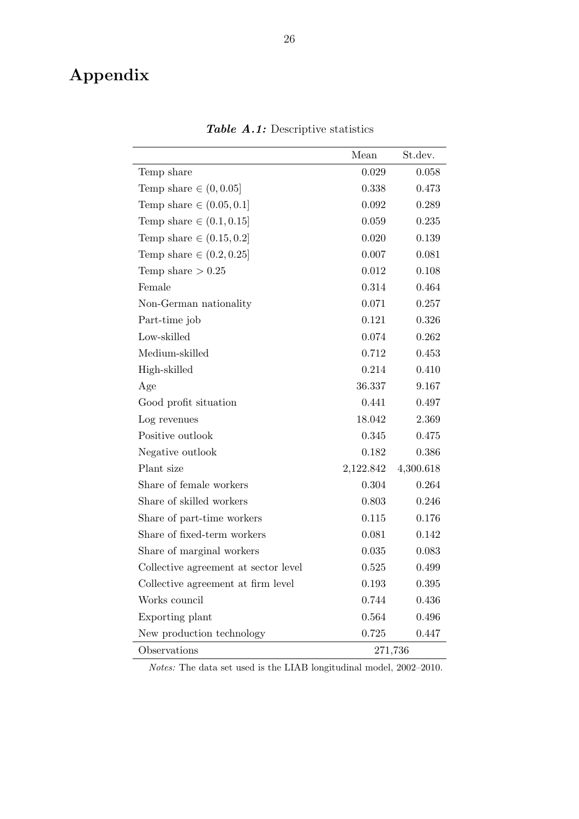## <span id="page-28-0"></span>Appendix

|                                      | Mean      | St.dev.   |
|--------------------------------------|-----------|-----------|
| Temp share                           | 0.029     | 0.058     |
| Temp share $\in (0, 0.05]$           | 0.338     | 0.473     |
| Temp share $\in (0.05, 0.1]$         | 0.092     | 0.289     |
| Temp share $\in (0.1, 0.15]$         | 0.059     | 0.235     |
| Temp share $\in (0.15, 0.2]$         | 0.020     | 0.139     |
| Temp share $\in (0.2, 0.25]$         | 0.007     | 0.081     |
| Temp share $> 0.25$                  | 0.012     | 0.108     |
| Female                               | 0.314     | 0.464     |
| Non-German nationality               | 0.071     | 0.257     |
| Part-time job                        | 0.121     | 0.326     |
| Low-skilled                          | 0.074     | 0.262     |
| Medium-skilled                       | 0.712     | 0.453     |
| High-skilled                         | 0.214     | 0.410     |
| Age                                  | 36.337    | 9.167     |
| Good profit situation                | 0.441     | 0.497     |
| Log revenues                         | 18.042    | 2.369     |
| Positive outlook                     | 0.345     | 0.475     |
| Negative outlook                     | 0.182     | 0.386     |
| Plant size                           | 2,122.842 | 4,300.618 |
| Share of female workers              | 0.304     | 0.264     |
| Share of skilled workers             | 0.803     | 0.246     |
| Share of part-time workers           | 0.115     | 0.176     |
| Share of fixed-term workers          | 0.081     | 0.142     |
| Share of marginal workers            | 0.035     | 0.083     |
| Collective agreement at sector level | 0.525     | 0.499     |
| Collective agreement at firm level   | 0.193     | 0.395     |
| Works council                        | 0.744     | 0.436     |
| Exporting plant                      | 0.564     | 0.496     |
| New production technology            | 0.725     | 0.447     |
| Observations                         | 271,736   |           |

Table A.1: Descriptive statistics

Notes: The data set used is the LIAB longitudinal model, 2002–2010.